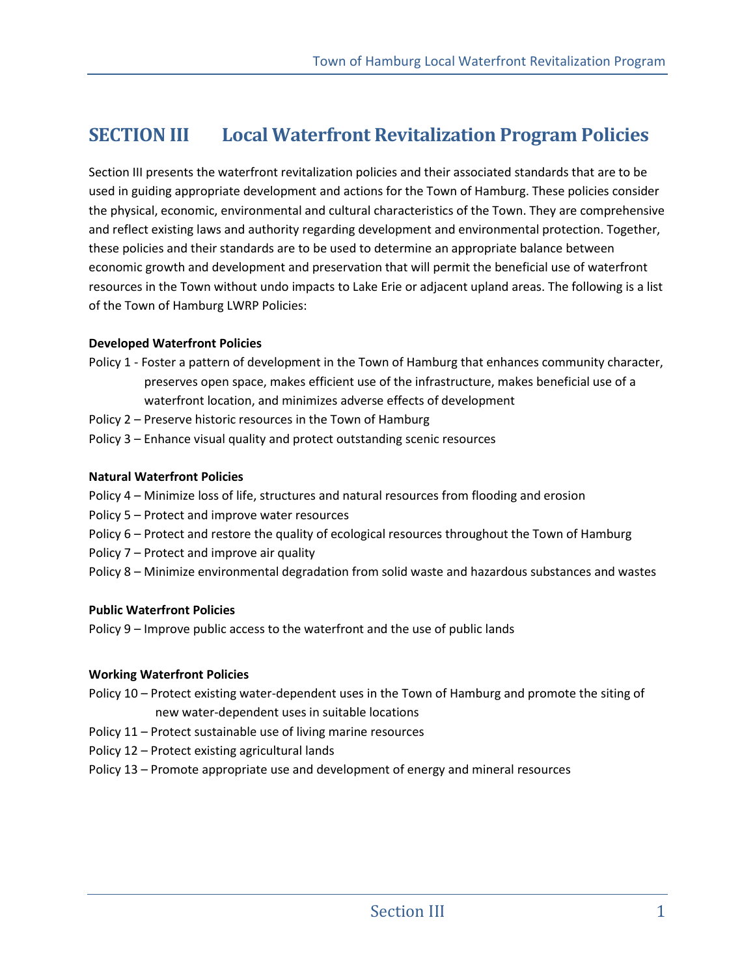# **SECTION III Local Waterfront Revitalization Program Policies**

Section III presents the waterfront revitalization policies and their associated standards that are to be used in guiding appropriate development and actions for the Town of Hamburg. These policies consider the physical, economic, environmental and cultural characteristics of the Town. They are comprehensive and reflect existing laws and authority regarding development and environmental protection. Together, these policies and their standards are to be used to determine an appropriate balance between economic growth and development and preservation that will permit the beneficial use of waterfront resources in the Town without undo impacts to Lake Erie or adjacent upland areas. The following is a list of the Town of Hamburg LWRP Policies:

#### **Developed Waterfront Policies**

- Policy 1 Foster a pattern of development in the Town of Hamburg that enhances community character, preserves open space, makes efficient use of the infrastructure, makes beneficial use of a waterfront location, and minimizes adverse effects of development
- Policy 2 Preserve historic resources in the Town of Hamburg
- Policy 3 Enhance visual quality and protect outstanding scenic resources

#### **Natural Waterfront Policies**

- Policy 4 Minimize loss of life, structures and natural resources from flooding and erosion
- Policy 5 Protect and improve water resources
- Policy 6 Protect and restore the quality of ecological resources throughout the Town of Hamburg
- Policy 7 Protect and improve air quality
- Policy 8 Minimize environmental degradation from solid waste and hazardous substances and wastes

#### **Public Waterfront Policies**

Policy 9 – Improve public access to the waterfront and the use of public lands

#### **Working Waterfront Policies**

- Policy 10 Protect existing water-dependent uses in the Town of Hamburg and promote the siting of new water-dependent uses in suitable locations
- Policy 11 Protect sustainable use of living marine resources
- Policy 12 Protect existing agricultural lands
- Policy 13 Promote appropriate use and development of energy and mineral resources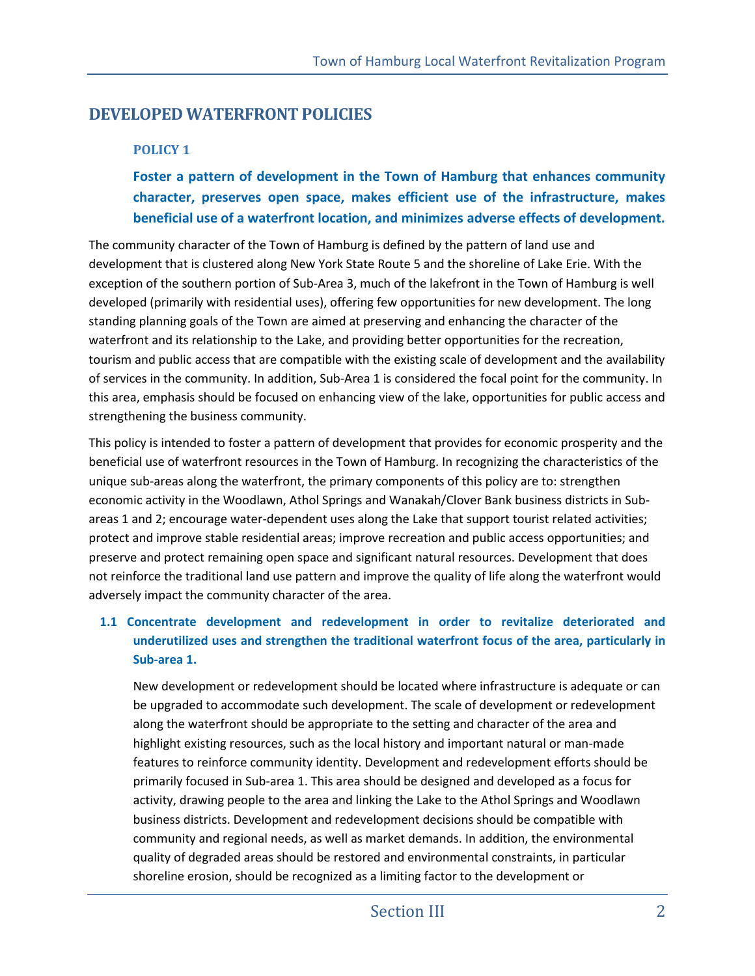# **DEVELOPED WATERFRONT POLICIES**

## **POLICY 1**

**Foster a pattern of development in the Town of Hamburg that enhances community character, preserves open space, makes efficient use of the infrastructure, makes beneficial use of a waterfront location, and minimizes adverse effects of development.** 

The community character of the Town of Hamburg is defined by the pattern of land use and development that is clustered along New York State Route 5 and the shoreline of Lake Erie. With the exception of the southern portion of Sub-Area 3, much of the lakefront in the Town of Hamburg is well developed (primarily with residential uses), offering few opportunities for new development. The long standing planning goals of the Town are aimed at preserving and enhancing the character of the waterfront and its relationship to the Lake, and providing better opportunities for the recreation, tourism and public access that are compatible with the existing scale of development and the availability of services in the community. In addition, Sub-Area 1 is considered the focal point for the community. In this area, emphasis should be focused on enhancing view of the lake, opportunities for public access and strengthening the business community.

This policy is intended to foster a pattern of development that provides for economic prosperity and the beneficial use of waterfront resources in the Town of Hamburg. In recognizing the characteristics of the unique sub-areas along the waterfront, the primary components of this policy are to: strengthen economic activity in the Woodlawn, Athol Springs and Wanakah/Clover Bank business districts in Subareas 1 and 2; encourage water-dependent uses along the Lake that support tourist related activities; protect and improve stable residential areas; improve recreation and public access opportunities; and preserve and protect remaining open space and significant natural resources. Development that does not reinforce the traditional land use pattern and improve the quality of life along the waterfront would adversely impact the community character of the area.

## **1.1 Concentrate development and redevelopment in order to revitalize deteriorated and underutilized uses and strengthen the traditional waterfront focus of the area, particularly in Sub-area 1.**

New development or redevelopment should be located where infrastructure is adequate or can be upgraded to accommodate such development. The scale of development or redevelopment along the waterfront should be appropriate to the setting and character of the area and highlight existing resources, such as the local history and important natural or man-made features to reinforce community identity. Development and redevelopment efforts should be primarily focused in Sub-area 1. This area should be designed and developed as a focus for activity, drawing people to the area and linking the Lake to the Athol Springs and Woodlawn business districts. Development and redevelopment decisions should be compatible with community and regional needs, as well as market demands. In addition, the environmental quality of degraded areas should be restored and environmental constraints, in particular shoreline erosion, should be recognized as a limiting factor to the development or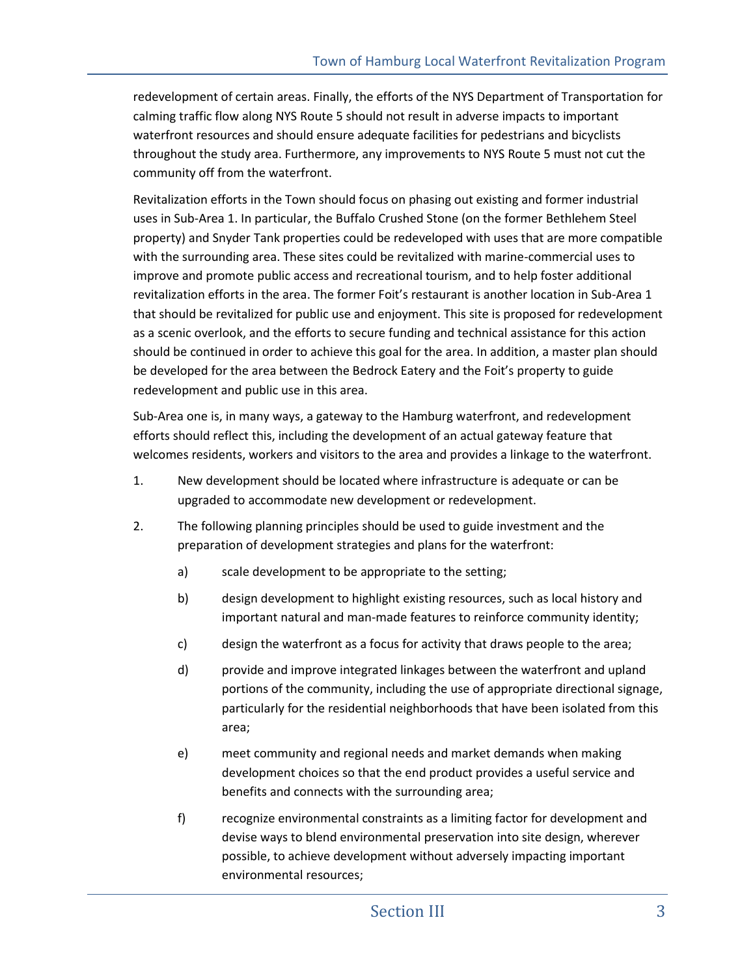redevelopment of certain areas. Finally, the efforts of the NYS Department of Transportation for calming traffic flow along NYS Route 5 should not result in adverse impacts to important waterfront resources and should ensure adequate facilities for pedestrians and bicyclists throughout the study area. Furthermore, any improvements to NYS Route 5 must not cut the community off from the waterfront.

Revitalization efforts in the Town should focus on phasing out existing and former industrial uses in Sub-Area 1. In particular, the Buffalo Crushed Stone (on the former Bethlehem Steel property) and Snyder Tank properties could be redeveloped with uses that are more compatible with the surrounding area. These sites could be revitalized with marine-commercial uses to improve and promote public access and recreational tourism, and to help foster additional revitalization efforts in the area. The former Foit's restaurant is another location in Sub-Area 1 that should be revitalized for public use and enjoyment. This site is proposed for redevelopment as a scenic overlook, and the efforts to secure funding and technical assistance for this action should be continued in order to achieve this goal for the area. In addition, a master plan should be developed for the area between the Bedrock Eatery and the Foit's property to guide redevelopment and public use in this area.

Sub-Area one is, in many ways, a gateway to the Hamburg waterfront, and redevelopment efforts should reflect this, including the development of an actual gateway feature that welcomes residents, workers and visitors to the area and provides a linkage to the waterfront.

- 1. New development should be located where infrastructure is adequate or can be upgraded to accommodate new development or redevelopment.
- 2. The following planning principles should be used to guide investment and the preparation of development strategies and plans for the waterfront:
	- a) scale development to be appropriate to the setting;
	- b) design development to highlight existing resources, such as local history and important natural and man-made features to reinforce community identity;
	- c) design the waterfront as a focus for activity that draws people to the area;
	- d) provide and improve integrated linkages between the waterfront and upland portions of the community, including the use of appropriate directional signage, particularly for the residential neighborhoods that have been isolated from this area;
	- e) meet community and regional needs and market demands when making development choices so that the end product provides a useful service and benefits and connects with the surrounding area;
	- f) recognize environmental constraints as a limiting factor for development and devise ways to blend environmental preservation into site design, wherever possible, to achieve development without adversely impacting important environmental resources;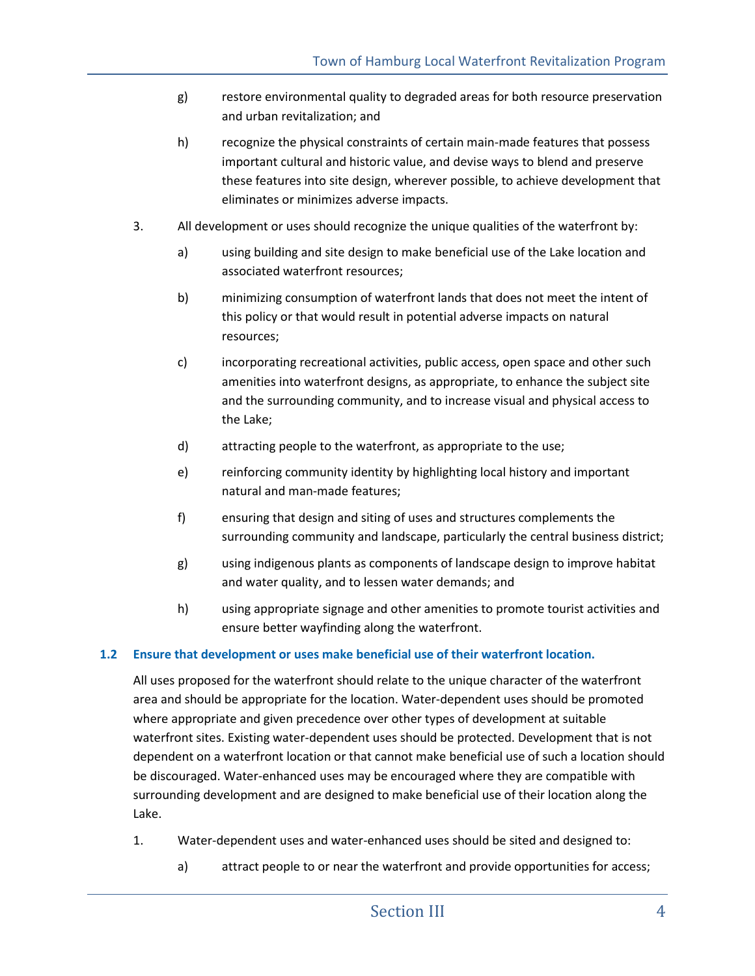- g) restore environmental quality to degraded areas for both resource preservation and urban revitalization; and
- h) recognize the physical constraints of certain main-made features that possess important cultural and historic value, and devise ways to blend and preserve these features into site design, wherever possible, to achieve development that eliminates or minimizes adverse impacts.
- 3. All development or uses should recognize the unique qualities of the waterfront by:
	- a) using building and site design to make beneficial use of the Lake location and associated waterfront resources;
	- b) minimizing consumption of waterfront lands that does not meet the intent of this policy or that would result in potential adverse impacts on natural resources;
	- c) incorporating recreational activities, public access, open space and other such amenities into waterfront designs, as appropriate, to enhance the subject site and the surrounding community, and to increase visual and physical access to the Lake;
	- d) attracting people to the waterfront, as appropriate to the use;
	- e) reinforcing community identity by highlighting local history and important natural and man-made features;
	- f) ensuring that design and siting of uses and structures complements the surrounding community and landscape, particularly the central business district;
	- g) using indigenous plants as components of landscape design to improve habitat and water quality, and to lessen water demands; and
	- h) using appropriate signage and other amenities to promote tourist activities and ensure better wayfinding along the waterfront.

## **1.2 Ensure that development or uses make beneficial use of their waterfront location.**

All uses proposed for the waterfront should relate to the unique character of the waterfront area and should be appropriate for the location. Water-dependent uses should be promoted where appropriate and given precedence over other types of development at suitable waterfront sites. Existing water-dependent uses should be protected. Development that is not dependent on a waterfront location or that cannot make beneficial use of such a location should be discouraged. Water-enhanced uses may be encouraged where they are compatible with surrounding development and are designed to make beneficial use of their location along the Lake.

- 1. Water-dependent uses and water-enhanced uses should be sited and designed to:
	- a) attract people to or near the waterfront and provide opportunities for access;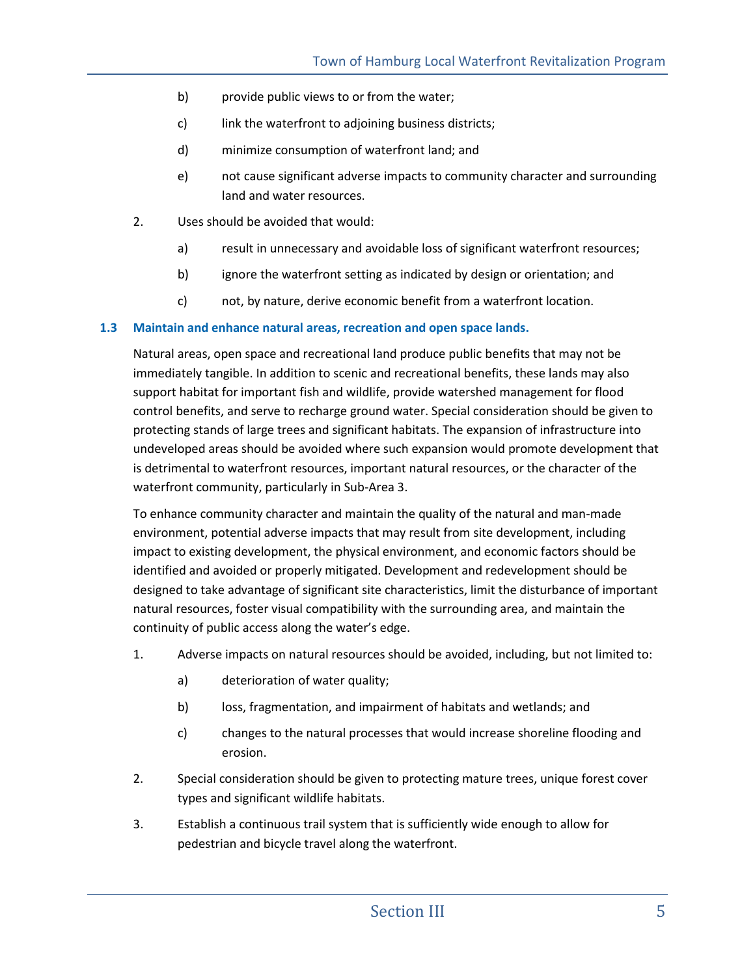- b) provide public views to or from the water;
- c) link the waterfront to adjoining business districts;
- d) minimize consumption of waterfront land; and
- e) not cause significant adverse impacts to community character and surrounding land and water resources.
- 2. Uses should be avoided that would:
	- a) result in unnecessary and avoidable loss of significant waterfront resources;
	- b) ignore the waterfront setting as indicated by design or orientation; and
	- c) not, by nature, derive economic benefit from a waterfront location.

#### **1.3 Maintain and enhance natural areas, recreation and open space lands.**

Natural areas, open space and recreational land produce public benefits that may not be immediately tangible. In addition to scenic and recreational benefits, these lands may also support habitat for important fish and wildlife, provide watershed management for flood control benefits, and serve to recharge ground water. Special consideration should be given to protecting stands of large trees and significant habitats. The expansion of infrastructure into undeveloped areas should be avoided where such expansion would promote development that is detrimental to waterfront resources, important natural resources, or the character of the waterfront community, particularly in Sub-Area 3.

To enhance community character and maintain the quality of the natural and man-made environment, potential adverse impacts that may result from site development, including impact to existing development, the physical environment, and economic factors should be identified and avoided or properly mitigated. Development and redevelopment should be designed to take advantage of significant site characteristics, limit the disturbance of important natural resources, foster visual compatibility with the surrounding area, and maintain the continuity of public access along the water's edge.

- 1. Adverse impacts on natural resources should be avoided, including, but not limited to:
	- a) deterioration of water quality;
	- b) loss, fragmentation, and impairment of habitats and wetlands; and
	- c) changes to the natural processes that would increase shoreline flooding and erosion.
- 2. Special consideration should be given to protecting mature trees, unique forest cover types and significant wildlife habitats.
- 3. Establish a continuous trail system that is sufficiently wide enough to allow for pedestrian and bicycle travel along the waterfront.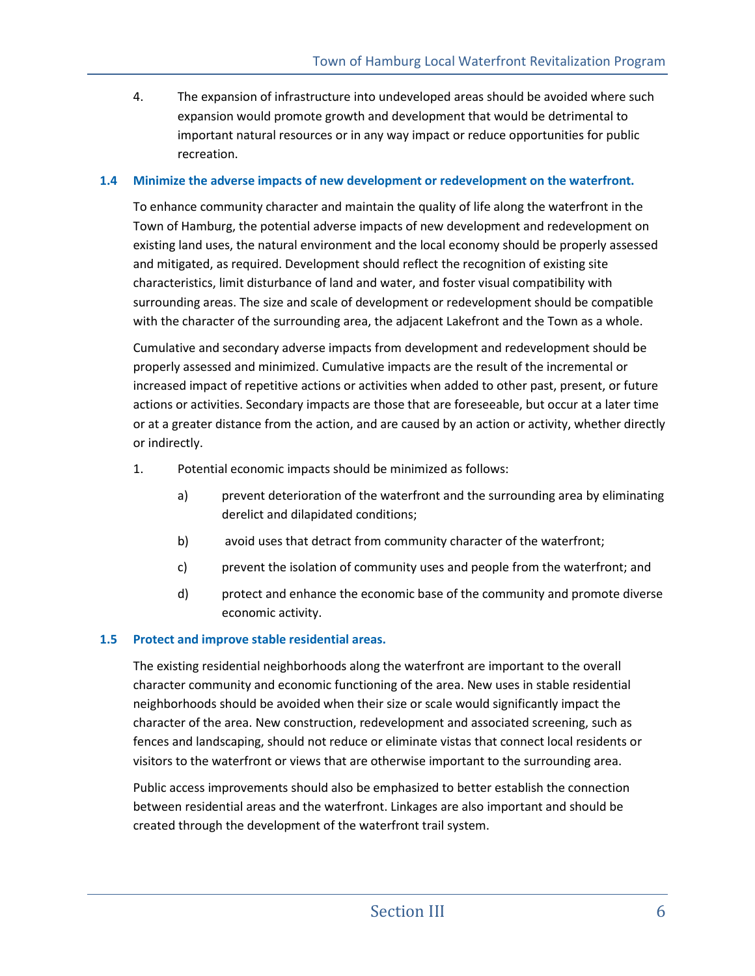4. The expansion of infrastructure into undeveloped areas should be avoided where such expansion would promote growth and development that would be detrimental to important natural resources or in any way impact or reduce opportunities for public recreation.

#### **1.4 Minimize the adverse impacts of new development or redevelopment on the waterfront.**

To enhance community character and maintain the quality of life along the waterfront in the Town of Hamburg, the potential adverse impacts of new development and redevelopment on existing land uses, the natural environment and the local economy should be properly assessed and mitigated, as required. Development should reflect the recognition of existing site characteristics, limit disturbance of land and water, and foster visual compatibility with surrounding areas. The size and scale of development or redevelopment should be compatible with the character of the surrounding area, the adjacent Lakefront and the Town as a whole.

Cumulative and secondary adverse impacts from development and redevelopment should be properly assessed and minimized. Cumulative impacts are the result of the incremental or increased impact of repetitive actions or activities when added to other past, present, or future actions or activities. Secondary impacts are those that are foreseeable, but occur at a later time or at a greater distance from the action, and are caused by an action or activity, whether directly or indirectly.

- 1. Potential economic impacts should be minimized as follows:
	- a) prevent deterioration of the waterfront and the surrounding area by eliminating derelict and dilapidated conditions;
	- b) avoid uses that detract from community character of the waterfront;
	- c) prevent the isolation of community uses and people from the waterfront; and
	- d) protect and enhance the economic base of the community and promote diverse economic activity.

#### **1.5 Protect and improve stable residential areas.**

The existing residential neighborhoods along the waterfront are important to the overall character community and economic functioning of the area. New uses in stable residential neighborhoods should be avoided when their size or scale would significantly impact the character of the area. New construction, redevelopment and associated screening, such as fences and landscaping, should not reduce or eliminate vistas that connect local residents or visitors to the waterfront or views that are otherwise important to the surrounding area.

Public access improvements should also be emphasized to better establish the connection between residential areas and the waterfront. Linkages are also important and should be created through the development of the waterfront trail system.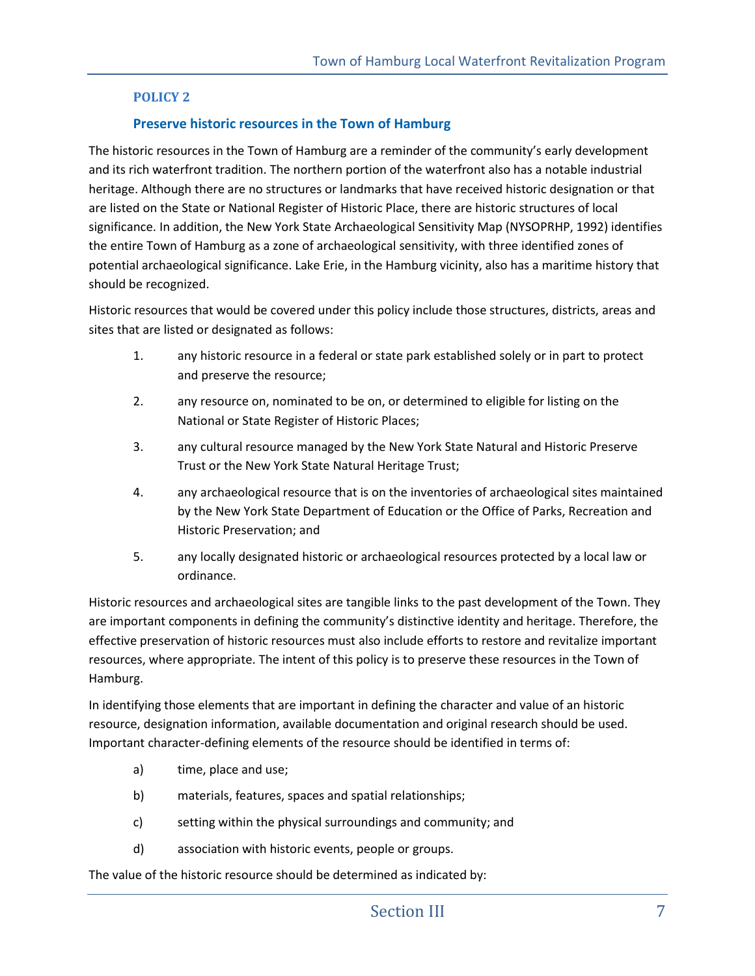### **POLICY 2**

#### **Preserve historic resources in the Town of Hamburg**

The historic resources in the Town of Hamburg are a reminder of the community's early development and its rich waterfront tradition. The northern portion of the waterfront also has a notable industrial heritage. Although there are no structures or landmarks that have received historic designation or that are listed on the State or National Register of Historic Place, there are historic structures of local significance. In addition, the New York State Archaeological Sensitivity Map (NYSOPRHP, 1992) identifies the entire Town of Hamburg as a zone of archaeological sensitivity, with three identified zones of potential archaeological significance. Lake Erie, in the Hamburg vicinity, also has a maritime history that should be recognized.

Historic resources that would be covered under this policy include those structures, districts, areas and sites that are listed or designated as follows:

- 1. any historic resource in a federal or state park established solely or in part to protect and preserve the resource;
- 2. any resource on, nominated to be on, or determined to eligible for listing on the National or State Register of Historic Places;
- 3. any cultural resource managed by the New York State Natural and Historic Preserve Trust or the New York State Natural Heritage Trust;
- 4. any archaeological resource that is on the inventories of archaeological sites maintained by the New York State Department of Education or the Office of Parks, Recreation and Historic Preservation; and
- 5. any locally designated historic or archaeological resources protected by a local law or ordinance.

Historic resources and archaeological sites are tangible links to the past development of the Town. They are important components in defining the community's distinctive identity and heritage. Therefore, the effective preservation of historic resources must also include efforts to restore and revitalize important resources, where appropriate. The intent of this policy is to preserve these resources in the Town of Hamburg.

In identifying those elements that are important in defining the character and value of an historic resource, designation information, available documentation and original research should be used. Important character-defining elements of the resource should be identified in terms of:

- a) time, place and use;
- b) materials, features, spaces and spatial relationships;
- c) setting within the physical surroundings and community; and
- d) association with historic events, people or groups.

The value of the historic resource should be determined as indicated by: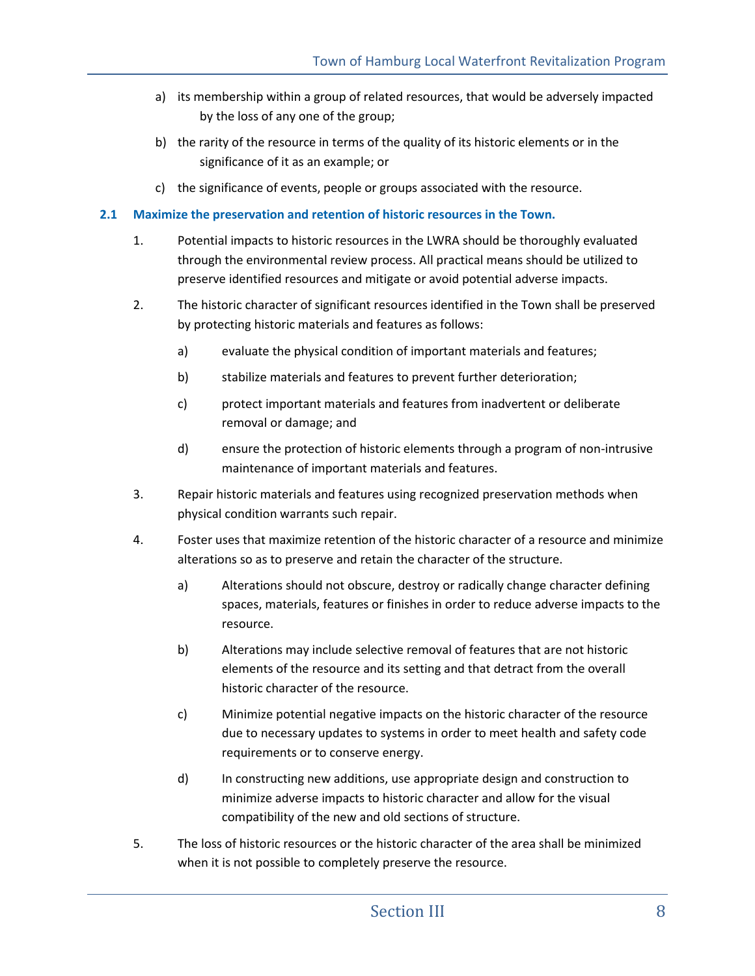- a) its membership within a group of related resources, that would be adversely impacted by the loss of any one of the group;
- b) the rarity of the resource in terms of the quality of its historic elements or in the significance of it as an example; or
- c) the significance of events, people or groups associated with the resource.

### **2.1 Maximize the preservation and retention of historic resources in the Town.**

- 1. Potential impacts to historic resources in the LWRA should be thoroughly evaluated through the environmental review process. All practical means should be utilized to preserve identified resources and mitigate or avoid potential adverse impacts.
- 2. The historic character of significant resources identified in the Town shall be preserved by protecting historic materials and features as follows:
	- a) evaluate the physical condition of important materials and features;
	- b) stabilize materials and features to prevent further deterioration;
	- c) protect important materials and features from inadvertent or deliberate removal or damage; and
	- d) ensure the protection of historic elements through a program of non-intrusive maintenance of important materials and features.
- 3. Repair historic materials and features using recognized preservation methods when physical condition warrants such repair.
- 4. Foster uses that maximize retention of the historic character of a resource and minimize alterations so as to preserve and retain the character of the structure.
	- a) Alterations should not obscure, destroy or radically change character defining spaces, materials, features or finishes in order to reduce adverse impacts to the resource.
	- b) Alterations may include selective removal of features that are not historic elements of the resource and its setting and that detract from the overall historic character of the resource.
	- c) Minimize potential negative impacts on the historic character of the resource due to necessary updates to systems in order to meet health and safety code requirements or to conserve energy.
	- d) In constructing new additions, use appropriate design and construction to minimize adverse impacts to historic character and allow for the visual compatibility of the new and old sections of structure.
- 5. The loss of historic resources or the historic character of the area shall be minimized when it is not possible to completely preserve the resource.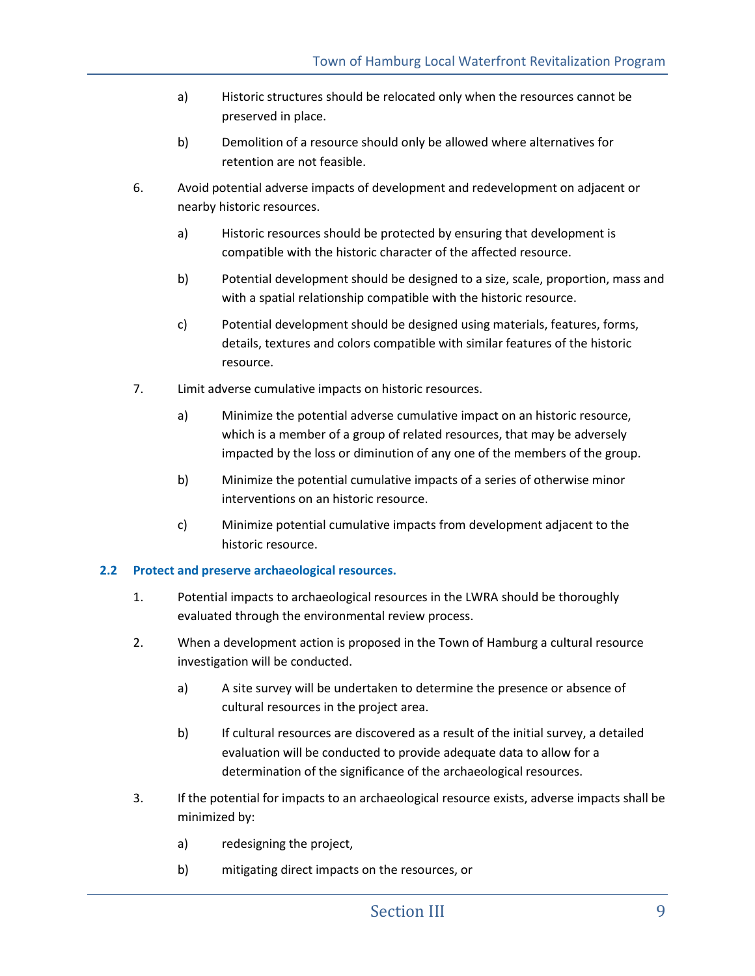- a) Historic structures should be relocated only when the resources cannot be preserved in place.
- b) Demolition of a resource should only be allowed where alternatives for retention are not feasible.
- 6. Avoid potential adverse impacts of development and redevelopment on adjacent or nearby historic resources.
	- a) Historic resources should be protected by ensuring that development is compatible with the historic character of the affected resource.
	- b) Potential development should be designed to a size, scale, proportion, mass and with a spatial relationship compatible with the historic resource.
	- c) Potential development should be designed using materials, features, forms, details, textures and colors compatible with similar features of the historic resource.
- 7. Limit adverse cumulative impacts on historic resources.
	- a) Minimize the potential adverse cumulative impact on an historic resource, which is a member of a group of related resources, that may be adversely impacted by the loss or diminution of any one of the members of the group.
	- b) Minimize the potential cumulative impacts of a series of otherwise minor interventions on an historic resource.
	- c) Minimize potential cumulative impacts from development adjacent to the historic resource.

## **2.2 Protect and preserve archaeological resources.**

- 1. Potential impacts to archaeological resources in the LWRA should be thoroughly evaluated through the environmental review process.
- 2. When a development action is proposed in the Town of Hamburg a cultural resource investigation will be conducted.
	- a) A site survey will be undertaken to determine the presence or absence of cultural resources in the project area.
	- b) If cultural resources are discovered as a result of the initial survey, a detailed evaluation will be conducted to provide adequate data to allow for a determination of the significance of the archaeological resources.
- 3. If the potential for impacts to an archaeological resource exists, adverse impacts shall be minimized by:
	- a) redesigning the project,
	- b) mitigating direct impacts on the resources, or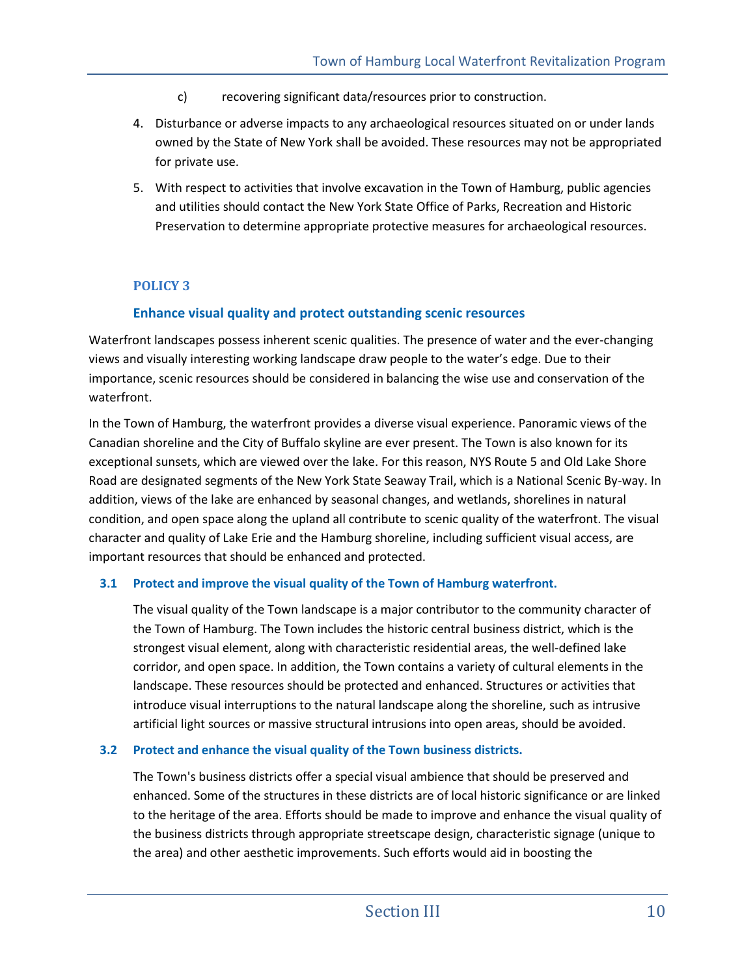- c) recovering significant data/resources prior to construction.
- 4. Disturbance or adverse impacts to any archaeological resources situated on or under lands owned by the State of New York shall be avoided. These resources may not be appropriated for private use.
- 5. With respect to activities that involve excavation in the Town of Hamburg, public agencies and utilities should contact the New York State Office of Parks, Recreation and Historic Preservation to determine appropriate protective measures for archaeological resources.

### **POLICY 3**

## **Enhance visual quality and protect outstanding scenic resources**

Waterfront landscapes possess inherent scenic qualities. The presence of water and the ever-changing views and visually interesting working landscape draw people to the water's edge. Due to their importance, scenic resources should be considered in balancing the wise use and conservation of the waterfront.

In the Town of Hamburg, the waterfront provides a diverse visual experience. Panoramic views of the Canadian shoreline and the City of Buffalo skyline are ever present. The Town is also known for its exceptional sunsets, which are viewed over the lake. For this reason, NYS Route 5 and Old Lake Shore Road are designated segments of the New York State Seaway Trail, which is a National Scenic By-way. In addition, views of the lake are enhanced by seasonal changes, and wetlands, shorelines in natural condition, and open space along the upland all contribute to scenic quality of the waterfront. The visual character and quality of Lake Erie and the Hamburg shoreline, including sufficient visual access, are important resources that should be enhanced and protected.

#### **3.1 Protect and improve the visual quality of the Town of Hamburg waterfront.**

The visual quality of the Town landscape is a major contributor to the community character of the Town of Hamburg. The Town includes the historic central business district, which is the strongest visual element, along with characteristic residential areas, the well-defined lake corridor, and open space. In addition, the Town contains a variety of cultural elements in the landscape. These resources should be protected and enhanced. Structures or activities that introduce visual interruptions to the natural landscape along the shoreline, such as intrusive artificial light sources or massive structural intrusions into open areas, should be avoided.

#### **3.2 Protect and enhance the visual quality of the Town business districts.**

The Town's business districts offer a special visual ambience that should be preserved and enhanced. Some of the structures in these districts are of local historic significance or are linked to the heritage of the area. Efforts should be made to improve and enhance the visual quality of the business districts through appropriate streetscape design, characteristic signage (unique to the area) and other aesthetic improvements. Such efforts would aid in boosting the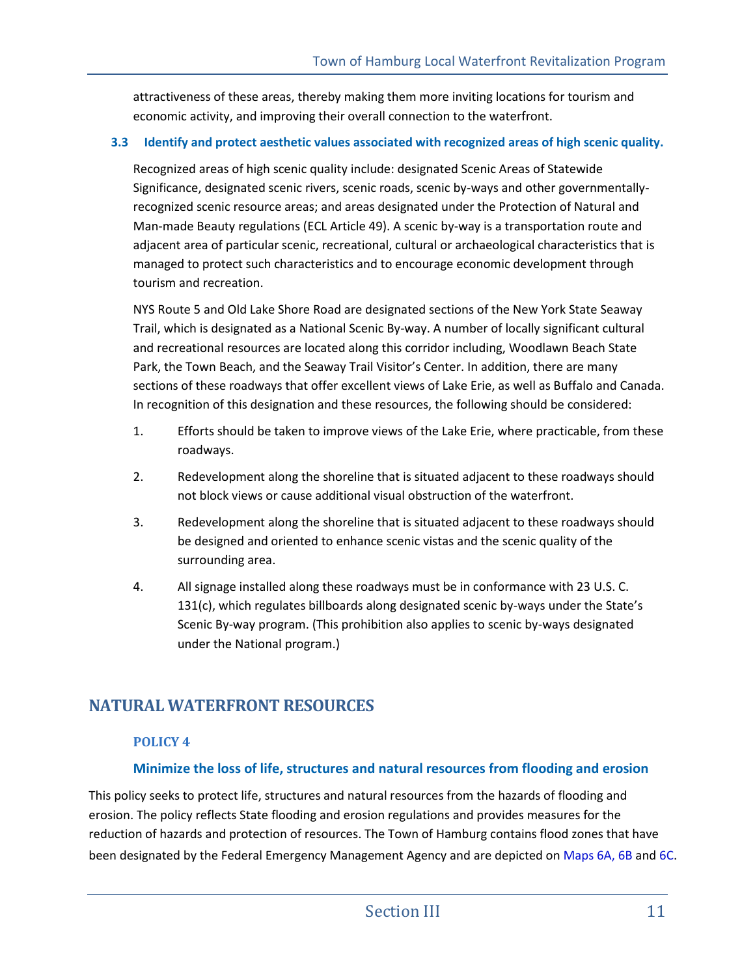attractiveness of these areas, thereby making them more inviting locations for tourism and economic activity, and improving their overall connection to the waterfront.

### **3.3 Identify and protect aesthetic values associated with recognized areas of high scenic quality.**

Recognized areas of high scenic quality include: designated Scenic Areas of Statewide Significance, designated scenic rivers, scenic roads, scenic by-ways and other governmentallyrecognized scenic resource areas; and areas designated under the Protection of Natural and Man-made Beauty regulations (ECL Article 49). A scenic by-way is a transportation route and adjacent area of particular scenic, recreational, cultural or archaeological characteristics that is managed to protect such characteristics and to encourage economic development through tourism and recreation.

NYS Route 5 and Old Lake Shore Road are designated sections of the New York State Seaway Trail, which is designated as a National Scenic By-way. A number of locally significant cultural and recreational resources are located along this corridor including, Woodlawn Beach State Park, the Town Beach, and the Seaway Trail Visitor's Center. In addition, there are many sections of these roadways that offer excellent views of Lake Erie, as well as Buffalo and Canada. In recognition of this designation and these resources, the following should be considered:

- 1. Efforts should be taken to improve views of the Lake Erie, where practicable, from these roadways.
- 2. Redevelopment along the shoreline that is situated adjacent to these roadways should not block views or cause additional visual obstruction of the waterfront.
- 3. Redevelopment along the shoreline that is situated adjacent to these roadways should be designed and oriented to enhance scenic vistas and the scenic quality of the surrounding area.
- 4. All signage installed along these roadways must be in conformance with 23 U.S. C. 131(c), which regulates billboards along designated scenic by-ways under the State's Scenic By-way program. (This prohibition also applies to scenic by-ways designated under the National program.)

# **NATURAL WATERFRONT RESOURCES**

## **POLICY 4**

## **Minimize the loss of life, structures and natural resources from flooding and erosion**

This policy seeks to protect life, structures and natural resources from the hazards of flooding and erosion. The policy reflects State flooding and erosion regulations and provides measures for the reduction of hazards and protection of resources. The Town of Hamburg contains flood zones that have been designated by the Federal Emergency Management Agency and are depicted on Maps 6A, 6B and 6C.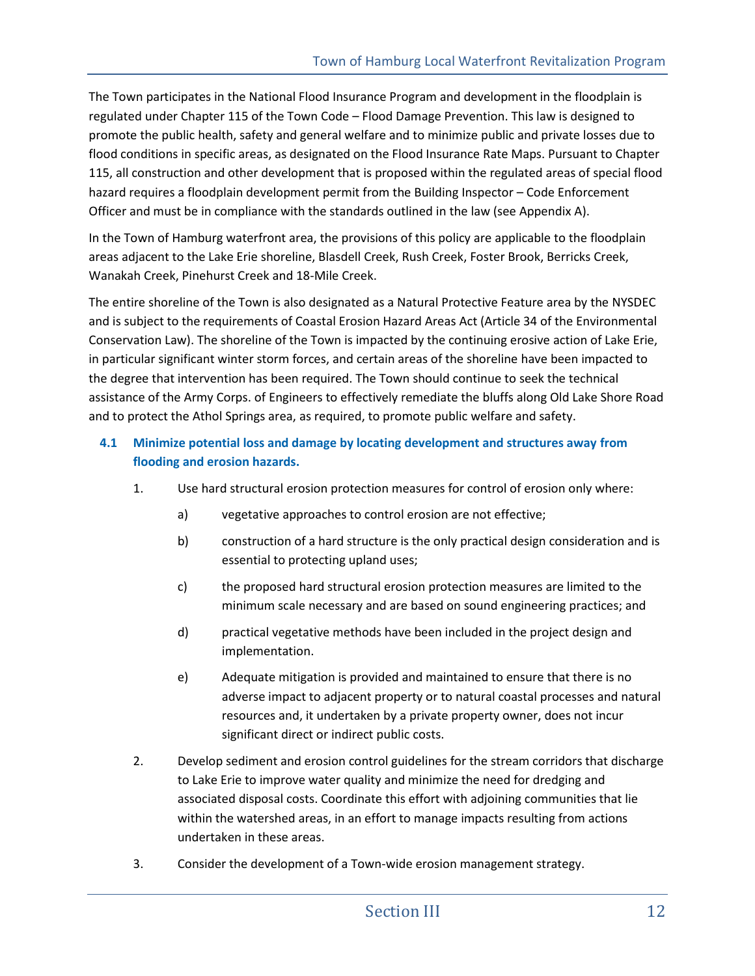The Town participates in the National Flood Insurance Program and development in the floodplain is regulated under Chapter 115 of the Town Code – Flood Damage Prevention. This law is designed to promote the public health, safety and general welfare and to minimize public and private losses due to flood conditions in specific areas, as designated on the Flood Insurance Rate Maps. Pursuant to Chapter 115, all construction and other development that is proposed within the regulated areas of special flood hazard requires a floodplain development permit from the Building Inspector – Code Enforcement Officer and must be in compliance with the standards outlined in the law (see Appendix A).

In the Town of Hamburg waterfront area, the provisions of this policy are applicable to the floodplain areas adjacent to the Lake Erie shoreline, Blasdell Creek, Rush Creek, Foster Brook, Berricks Creek, Wanakah Creek, Pinehurst Creek and 18-Mile Creek.

The entire shoreline of the Town is also designated as a Natural Protective Feature area by the NYSDEC and is subject to the requirements of Coastal Erosion Hazard Areas Act (Article 34 of the Environmental Conservation Law). The shoreline of the Town is impacted by the continuing erosive action of Lake Erie, in particular significant winter storm forces, and certain areas of the shoreline have been impacted to the degree that intervention has been required. The Town should continue to seek the technical assistance of the Army Corps. of Engineers to effectively remediate the bluffs along Old Lake Shore Road and to protect the Athol Springs area, as required, to promote public welfare and safety.

## **4.1 Minimize potential loss and damage by locating development and structures away from flooding and erosion hazards.**

- 1. Use hard structural erosion protection measures for control of erosion only where:
	- a) vegetative approaches to control erosion are not effective;
	- b) construction of a hard structure is the only practical design consideration and is essential to protecting upland uses;
	- c) the proposed hard structural erosion protection measures are limited to the minimum scale necessary and are based on sound engineering practices; and
	- d) practical vegetative methods have been included in the project design and implementation.
	- e) Adequate mitigation is provided and maintained to ensure that there is no adverse impact to adjacent property or to natural coastal processes and natural resources and, it undertaken by a private property owner, does not incur significant direct or indirect public costs.
- 2. Develop sediment and erosion control guidelines for the stream corridors that discharge to Lake Erie to improve water quality and minimize the need for dredging and associated disposal costs. Coordinate this effort with adjoining communities that lie within the watershed areas, in an effort to manage impacts resulting from actions undertaken in these areas.
- 3. Consider the development of a Town-wide erosion management strategy.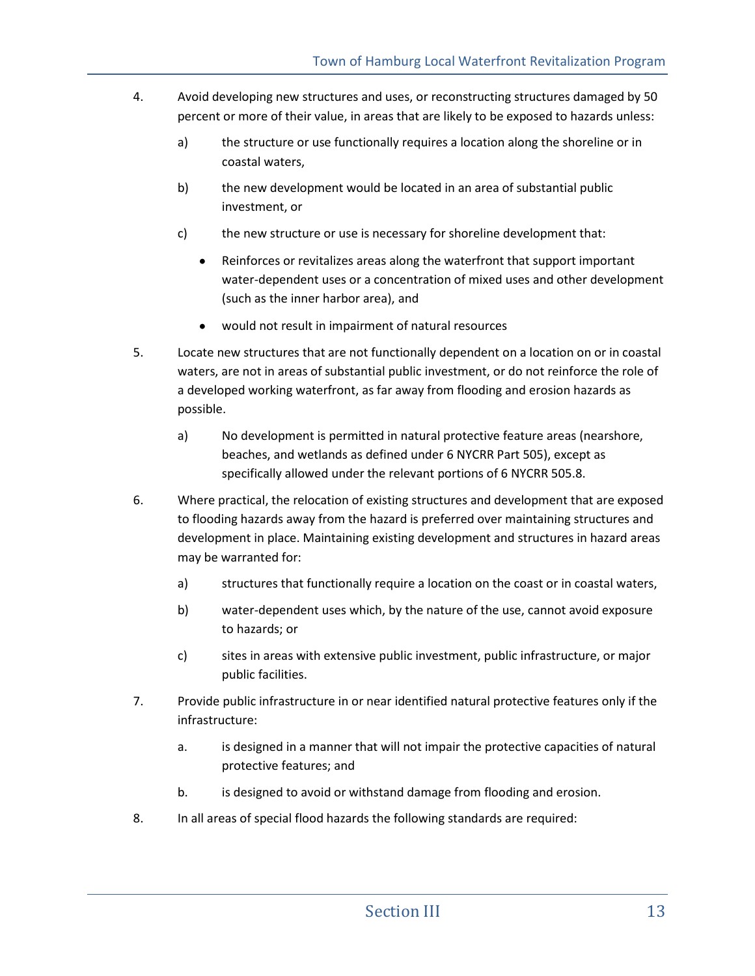- 4. Avoid developing new structures and uses, or reconstructing structures damaged by 50 percent or more of their value, in areas that are likely to be exposed to hazards unless:
	- a) the structure or use functionally requires a location along the shoreline or in coastal waters,
	- b) the new development would be located in an area of substantial public investment, or
	- c) the new structure or use is necessary for shoreline development that:
		- Reinforces or revitalizes areas along the waterfront that support important  $\bullet$ water-dependent uses or a concentration of mixed uses and other development (such as the inner harbor area), and
		- would not result in impairment of natural resources
- 5. Locate new structures that are not functionally dependent on a location on or in coastal waters, are not in areas of substantial public investment, or do not reinforce the role of a developed working waterfront, as far away from flooding and erosion hazards as possible.
	- a) No development is permitted in natural protective feature areas (nearshore, beaches, and wetlands as defined under 6 NYCRR Part 505), except as specifically allowed under the relevant portions of 6 NYCRR 505.8.
- 6. Where practical, the relocation of existing structures and development that are exposed to flooding hazards away from the hazard is preferred over maintaining structures and development in place. Maintaining existing development and structures in hazard areas may be warranted for:
	- a) structures that functionally require a location on the coast or in coastal waters,
	- b) water-dependent uses which, by the nature of the use, cannot avoid exposure to hazards; or
	- c) sites in areas with extensive public investment, public infrastructure, or major public facilities.
- 7. Provide public infrastructure in or near identified natural protective features only if the infrastructure:
	- a. is designed in a manner that will not impair the protective capacities of natural protective features; and
	- b. is designed to avoid or withstand damage from flooding and erosion.
- 8. In all areas of special flood hazards the following standards are required: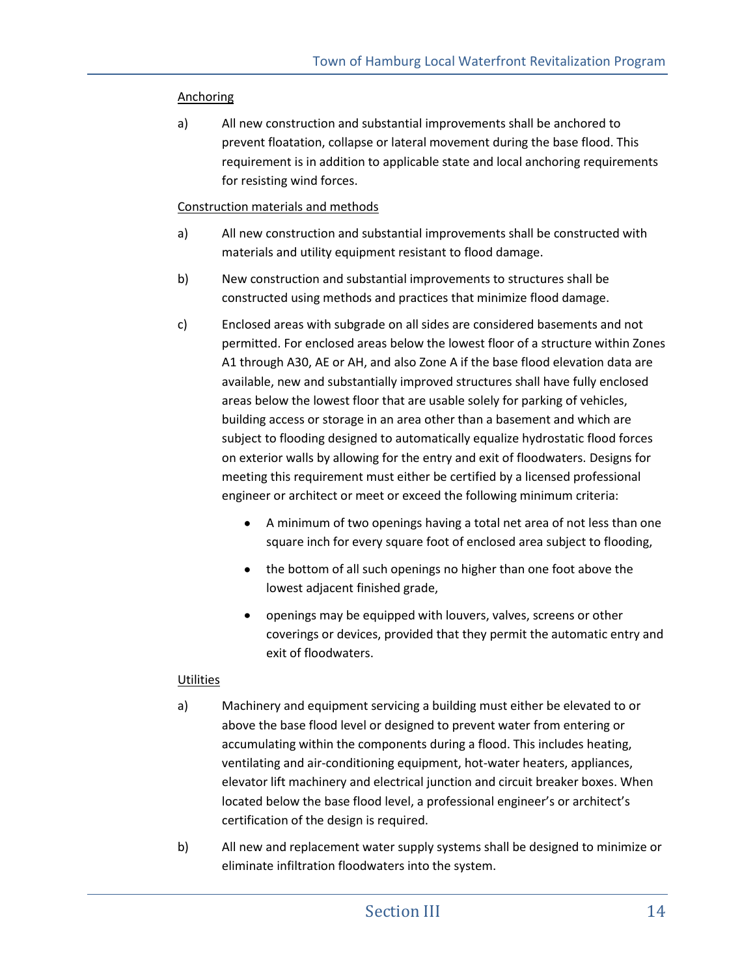### Anchoring

a) All new construction and substantial improvements shall be anchored to prevent floatation, collapse or lateral movement during the base flood. This requirement is in addition to applicable state and local anchoring requirements for resisting wind forces.

### Construction materials and methods

- a) All new construction and substantial improvements shall be constructed with materials and utility equipment resistant to flood damage.
- b) New construction and substantial improvements to structures shall be constructed using methods and practices that minimize flood damage.
- c) Enclosed areas with subgrade on all sides are considered basements and not permitted. For enclosed areas below the lowest floor of a structure within Zones A1 through A30, AE or AH, and also Zone A if the base flood elevation data are available, new and substantially improved structures shall have fully enclosed areas below the lowest floor that are usable solely for parking of vehicles, building access or storage in an area other than a basement and which are subject to flooding designed to automatically equalize hydrostatic flood forces on exterior walls by allowing for the entry and exit of floodwaters. Designs for meeting this requirement must either be certified by a licensed professional engineer or architect or meet or exceed the following minimum criteria:
	- A minimum of two openings having a total net area of not less than one square inch for every square foot of enclosed area subject to flooding,
	- the bottom of all such openings no higher than one foot above the lowest adjacent finished grade,
	- openings may be equipped with louvers, valves, screens or other coverings or devices, provided that they permit the automatic entry and exit of floodwaters.

#### **Utilities**

- a) Machinery and equipment servicing a building must either be elevated to or above the base flood level or designed to prevent water from entering or accumulating within the components during a flood. This includes heating, ventilating and air-conditioning equipment, hot-water heaters, appliances, elevator lift machinery and electrical junction and circuit breaker boxes. When located below the base flood level, a professional engineer's or architect's certification of the design is required.
- b) All new and replacement water supply systems shall be designed to minimize or eliminate infiltration floodwaters into the system.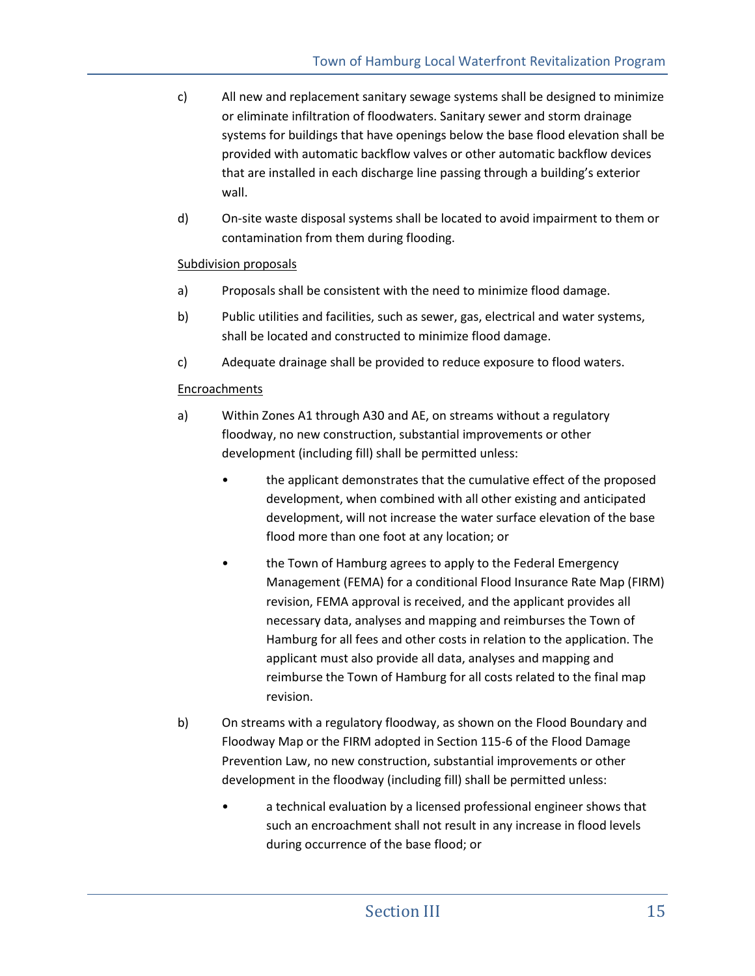- c) All new and replacement sanitary sewage systems shall be designed to minimize or eliminate infiltration of floodwaters. Sanitary sewer and storm drainage systems for buildings that have openings below the base flood elevation shall be provided with automatic backflow valves or other automatic backflow devices that are installed in each discharge line passing through a building's exterior wall.
- d) On-site waste disposal systems shall be located to avoid impairment to them or contamination from them during flooding.

### Subdivision proposals

- a) Proposals shall be consistent with the need to minimize flood damage.
- b) Public utilities and facilities, such as sewer, gas, electrical and water systems, shall be located and constructed to minimize flood damage.
- c) Adequate drainage shall be provided to reduce exposure to flood waters.

### Encroachments

- a) Within Zones A1 through A30 and AE, on streams without a regulatory floodway, no new construction, substantial improvements or other development (including fill) shall be permitted unless:
	- the applicant demonstrates that the cumulative effect of the proposed development, when combined with all other existing and anticipated development, will not increase the water surface elevation of the base flood more than one foot at any location; or
	- the Town of Hamburg agrees to apply to the Federal Emergency Management (FEMA) for a conditional Flood Insurance Rate Map (FIRM) revision, FEMA approval is received, and the applicant provides all necessary data, analyses and mapping and reimburses the Town of Hamburg for all fees and other costs in relation to the application. The applicant must also provide all data, analyses and mapping and reimburse the Town of Hamburg for all costs related to the final map revision.
- b) On streams with a regulatory floodway, as shown on the Flood Boundary and Floodway Map or the FIRM adopted in Section 115-6 of the Flood Damage Prevention Law, no new construction, substantial improvements or other development in the floodway (including fill) shall be permitted unless:
	- a technical evaluation by a licensed professional engineer shows that such an encroachment shall not result in any increase in flood levels during occurrence of the base flood; or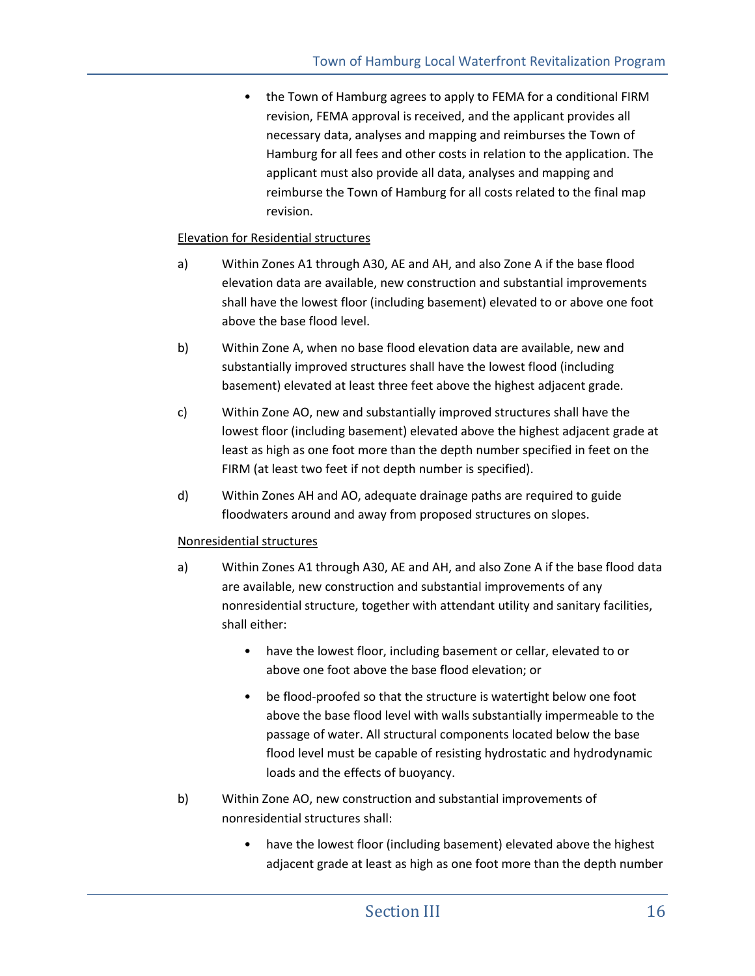• the Town of Hamburg agrees to apply to FEMA for a conditional FIRM revision, FEMA approval is received, and the applicant provides all necessary data, analyses and mapping and reimburses the Town of Hamburg for all fees and other costs in relation to the application. The applicant must also provide all data, analyses and mapping and reimburse the Town of Hamburg for all costs related to the final map revision.

### Elevation for Residential structures

- a) Within Zones A1 through A30, AE and AH, and also Zone A if the base flood elevation data are available, new construction and substantial improvements shall have the lowest floor (including basement) elevated to or above one foot above the base flood level.
- b) Within Zone A, when no base flood elevation data are available, new and substantially improved structures shall have the lowest flood (including basement) elevated at least three feet above the highest adjacent grade.
- c) Within Zone AO, new and substantially improved structures shall have the lowest floor (including basement) elevated above the highest adjacent grade at least as high as one foot more than the depth number specified in feet on the FIRM (at least two feet if not depth number is specified).
- d) Within Zones AH and AO, adequate drainage paths are required to guide floodwaters around and away from proposed structures on slopes.

#### Nonresidential structures

- a) Within Zones A1 through A30, AE and AH, and also Zone A if the base flood data are available, new construction and substantial improvements of any nonresidential structure, together with attendant utility and sanitary facilities, shall either:
	- have the lowest floor, including basement or cellar, elevated to or above one foot above the base flood elevation; or
	- be flood-proofed so that the structure is watertight below one foot above the base flood level with walls substantially impermeable to the passage of water. All structural components located below the base flood level must be capable of resisting hydrostatic and hydrodynamic loads and the effects of buoyancy.
- b) Within Zone AO, new construction and substantial improvements of nonresidential structures shall:
	- have the lowest floor (including basement) elevated above the highest adjacent grade at least as high as one foot more than the depth number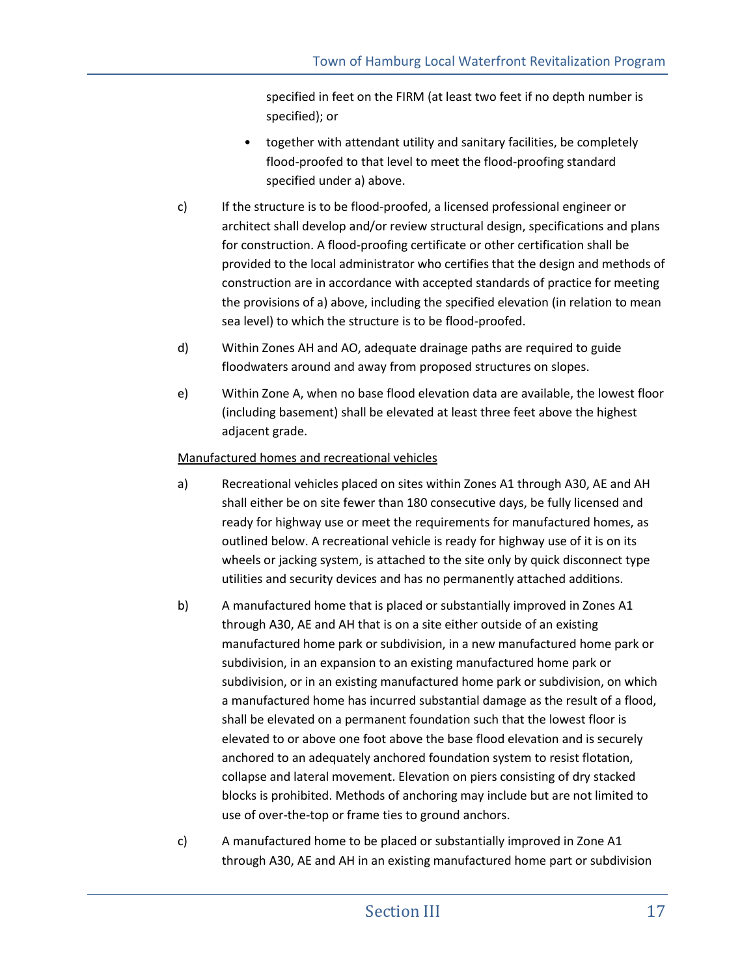specified in feet on the FIRM (at least two feet if no depth number is specified); or

- together with attendant utility and sanitary facilities, be completely flood-proofed to that level to meet the flood-proofing standard specified under a) above.
- c) If the structure is to be flood-proofed, a licensed professional engineer or architect shall develop and/or review structural design, specifications and plans for construction. A flood-proofing certificate or other certification shall be provided to the local administrator who certifies that the design and methods of construction are in accordance with accepted standards of practice for meeting the provisions of a) above, including the specified elevation (in relation to mean sea level) to which the structure is to be flood-proofed.
- d) Within Zones AH and AO, adequate drainage paths are required to guide floodwaters around and away from proposed structures on slopes.
- e) Within Zone A, when no base flood elevation data are available, the lowest floor (including basement) shall be elevated at least three feet above the highest adjacent grade.

### Manufactured homes and recreational vehicles

- a) Recreational vehicles placed on sites within Zones A1 through A30, AE and AH shall either be on site fewer than 180 consecutive days, be fully licensed and ready for highway use or meet the requirements for manufactured homes, as outlined below. A recreational vehicle is ready for highway use of it is on its wheels or jacking system, is attached to the site only by quick disconnect type utilities and security devices and has no permanently attached additions.
- b) A manufactured home that is placed or substantially improved in Zones A1 through A30, AE and AH that is on a site either outside of an existing manufactured home park or subdivision, in a new manufactured home park or subdivision, in an expansion to an existing manufactured home park or subdivision, or in an existing manufactured home park or subdivision, on which a manufactured home has incurred substantial damage as the result of a flood, shall be elevated on a permanent foundation such that the lowest floor is elevated to or above one foot above the base flood elevation and is securely anchored to an adequately anchored foundation system to resist flotation, collapse and lateral movement. Elevation on piers consisting of dry stacked blocks is prohibited. Methods of anchoring may include but are not limited to use of over-the-top or frame ties to ground anchors.
- c) A manufactured home to be placed or substantially improved in Zone A1 through A30, AE and AH in an existing manufactured home part or subdivision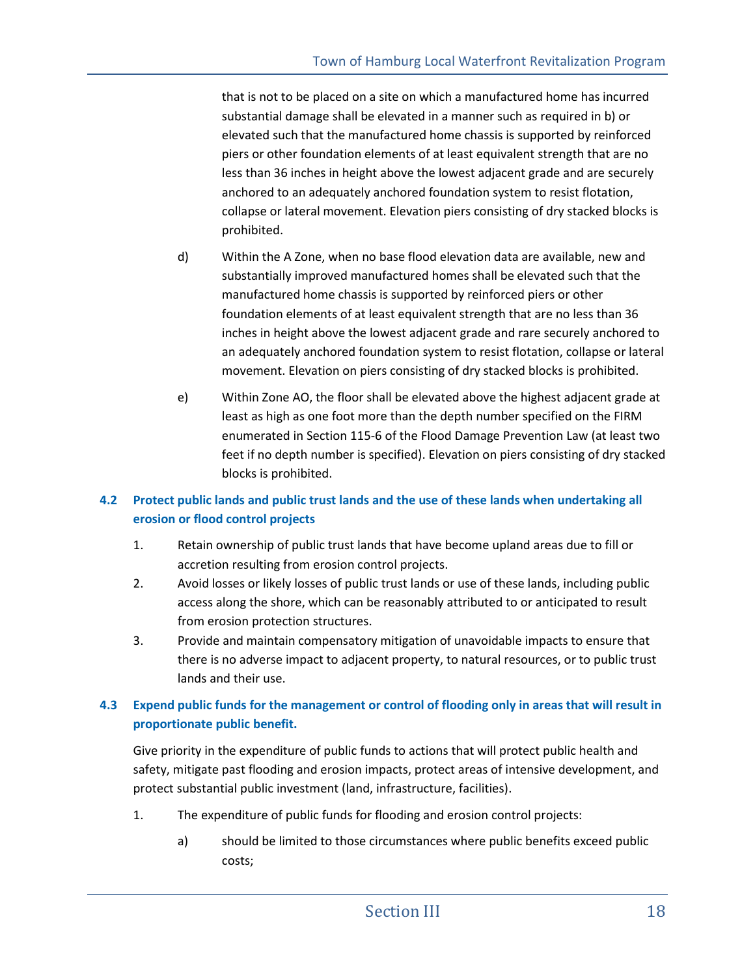that is not to be placed on a site on which a manufactured home has incurred substantial damage shall be elevated in a manner such as required in b) or elevated such that the manufactured home chassis is supported by reinforced piers or other foundation elements of at least equivalent strength that are no less than 36 inches in height above the lowest adjacent grade and are securely anchored to an adequately anchored foundation system to resist flotation, collapse or lateral movement. Elevation piers consisting of dry stacked blocks is prohibited.

- d) Within the A Zone, when no base flood elevation data are available, new and substantially improved manufactured homes shall be elevated such that the manufactured home chassis is supported by reinforced piers or other foundation elements of at least equivalent strength that are no less than 36 inches in height above the lowest adjacent grade and rare securely anchored to an adequately anchored foundation system to resist flotation, collapse or lateral movement. Elevation on piers consisting of dry stacked blocks is prohibited.
- e) Within Zone AO, the floor shall be elevated above the highest adjacent grade at least as high as one foot more than the depth number specified on the FIRM enumerated in Section 115-6 of the Flood Damage Prevention Law (at least two feet if no depth number is specified). Elevation on piers consisting of dry stacked blocks is prohibited.

## **4.2 Protect public lands and public trust lands and the use of these lands when undertaking all erosion or flood control projects**

- 1. Retain ownership of public trust lands that have become upland areas due to fill or accretion resulting from erosion control projects.
- 2. Avoid losses or likely losses of public trust lands or use of these lands, including public access along the shore, which can be reasonably attributed to or anticipated to result from erosion protection structures.
- 3. Provide and maintain compensatory mitigation of unavoidable impacts to ensure that there is no adverse impact to adjacent property, to natural resources, or to public trust lands and their use.

## **4.3 Expend public funds for the management or control of flooding only in areas that will result in proportionate public benefit.**

Give priority in the expenditure of public funds to actions that will protect public health and safety, mitigate past flooding and erosion impacts, protect areas of intensive development, and protect substantial public investment (land, infrastructure, facilities).

- 1. The expenditure of public funds for flooding and erosion control projects:
	- a) should be limited to those circumstances where public benefits exceed public costs;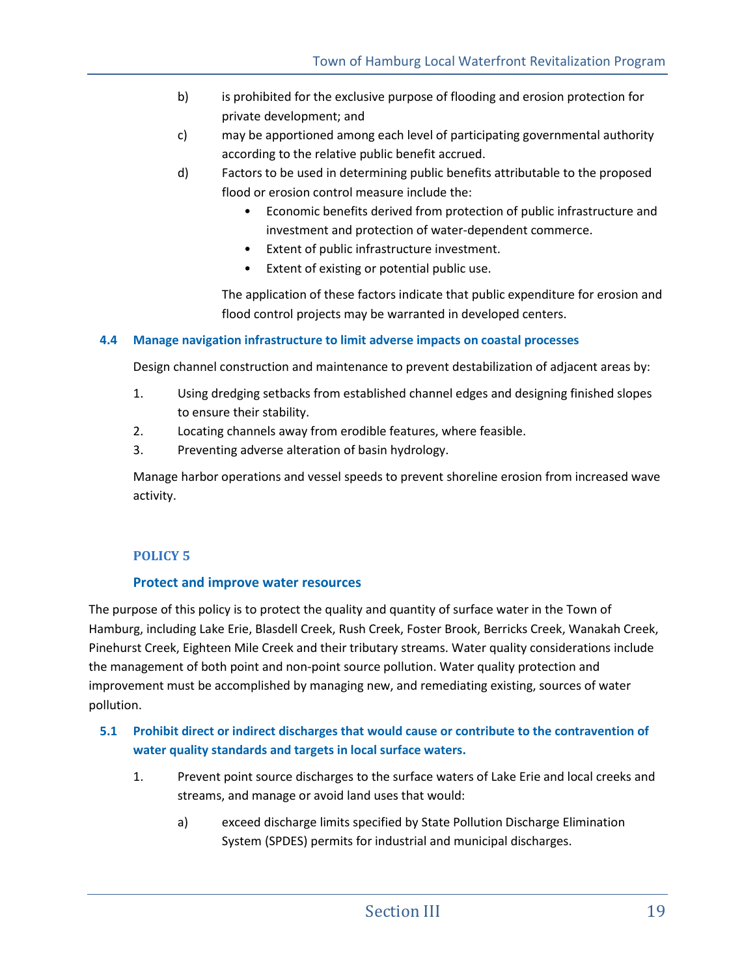- b) is prohibited for the exclusive purpose of flooding and erosion protection for private development; and
- c) may be apportioned among each level of participating governmental authority according to the relative public benefit accrued.
- d) Factors to be used in determining public benefits attributable to the proposed flood or erosion control measure include the:
	- Economic benefits derived from protection of public infrastructure and investment and protection of water-dependent commerce.
	- Extent of public infrastructure investment.
	- Extent of existing or potential public use.

The application of these factors indicate that public expenditure for erosion and flood control projects may be warranted in developed centers.

## **4.4 Manage navigation infrastructure to limit adverse impacts on coastal processes**

Design channel construction and maintenance to prevent destabilization of adjacent areas by:

- 1. Using dredging setbacks from established channel edges and designing finished slopes to ensure their stability.
- 2. Locating channels away from erodible features, where feasible.
- 3. Preventing adverse alteration of basin hydrology.

Manage harbor operations and vessel speeds to prevent shoreline erosion from increased wave activity.

## **POLICY 5**

## **Protect and improve water resources**

The purpose of this policy is to protect the quality and quantity of surface water in the Town of Hamburg, including Lake Erie, Blasdell Creek, Rush Creek, Foster Brook, Berricks Creek, Wanakah Creek, Pinehurst Creek, Eighteen Mile Creek and their tributary streams. Water quality considerations include the management of both point and non-point source pollution. Water quality protection and improvement must be accomplished by managing new, and remediating existing, sources of water pollution.

## **5.1 Prohibit direct or indirect discharges that would cause or contribute to the contravention of water quality standards and targets in local surface waters.**

- 1. Prevent point source discharges to the surface waters of Lake Erie and local creeks and streams, and manage or avoid land uses that would:
	- a) exceed discharge limits specified by State Pollution Discharge Elimination System (SPDES) permits for industrial and municipal discharges.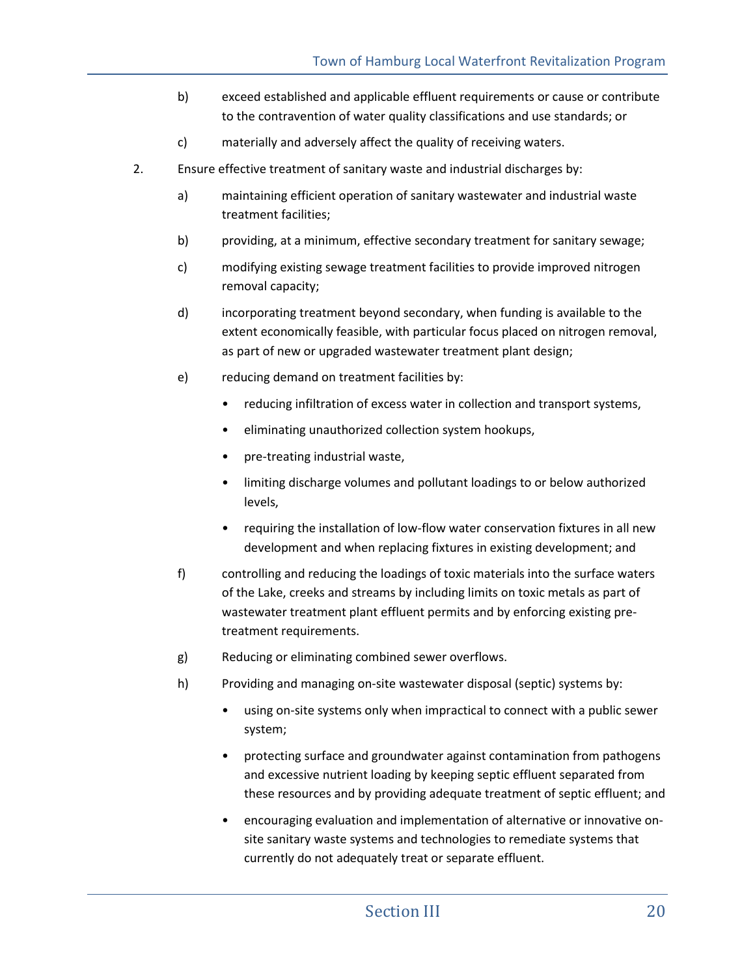- b) exceed established and applicable effluent requirements or cause or contribute to the contravention of water quality classifications and use standards; or
- c) materially and adversely affect the quality of receiving waters.
- 2. Ensure effective treatment of sanitary waste and industrial discharges by:
	- a) maintaining efficient operation of sanitary wastewater and industrial waste treatment facilities;
	- b) providing, at a minimum, effective secondary treatment for sanitary sewage;
	- c) modifying existing sewage treatment facilities to provide improved nitrogen removal capacity;
	- d) incorporating treatment beyond secondary, when funding is available to the extent economically feasible, with particular focus placed on nitrogen removal, as part of new or upgraded wastewater treatment plant design;
	- e) reducing demand on treatment facilities by:
		- reducing infiltration of excess water in collection and transport systems,
		- eliminating unauthorized collection system hookups,
		- pre-treating industrial waste,
		- limiting discharge volumes and pollutant loadings to or below authorized levels,
		- requiring the installation of low-flow water conservation fixtures in all new development and when replacing fixtures in existing development; and
	- f) controlling and reducing the loadings of toxic materials into the surface waters of the Lake, creeks and streams by including limits on toxic metals as part of wastewater treatment plant effluent permits and by enforcing existing pretreatment requirements.
	- g) Reducing or eliminating combined sewer overflows.
	- h) Providing and managing on-site wastewater disposal (septic) systems by:
		- using on-site systems only when impractical to connect with a public sewer system;
		- protecting surface and groundwater against contamination from pathogens and excessive nutrient loading by keeping septic effluent separated from these resources and by providing adequate treatment of septic effluent; and
		- encouraging evaluation and implementation of alternative or innovative onsite sanitary waste systems and technologies to remediate systems that currently do not adequately treat or separate effluent.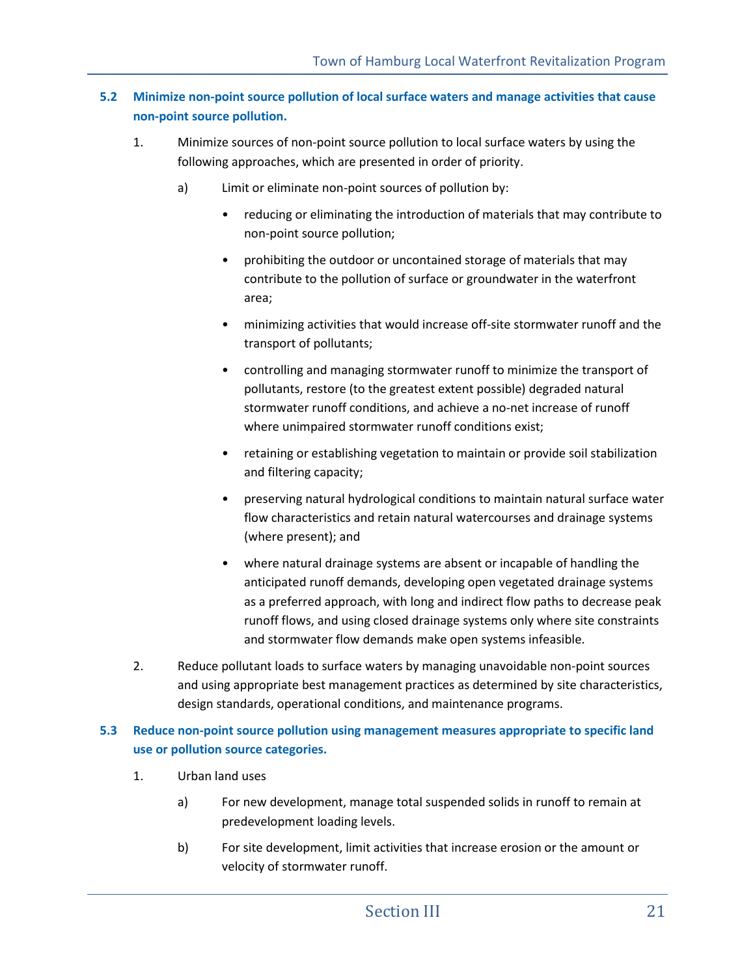## **5.2 Minimize non-point source pollution of local surface waters and manage activities that cause non-point source pollution.**

- 1. Minimize sources of non-point source pollution to local surface waters by using the following approaches, which are presented in order of priority.
	- a) Limit or eliminate non-point sources of pollution by:
		- reducing or eliminating the introduction of materials that may contribute to non-point source pollution;
		- prohibiting the outdoor or uncontained storage of materials that may contribute to the pollution of surface or groundwater in the waterfront area;
		- minimizing activities that would increase off-site stormwater runoff and the transport of pollutants;
		- controlling and managing stormwater runoff to minimize the transport of pollutants, restore (to the greatest extent possible) degraded natural stormwater runoff conditions, and achieve a no-net increase of runoff where unimpaired stormwater runoff conditions exist;
		- retaining or establishing vegetation to maintain or provide soil stabilization and filtering capacity;
		- preserving natural hydrological conditions to maintain natural surface water flow characteristics and retain natural watercourses and drainage systems (where present); and
		- where natural drainage systems are absent or incapable of handling the anticipated runoff demands, developing open vegetated drainage systems as a preferred approach, with long and indirect flow paths to decrease peak runoff flows, and using closed drainage systems only where site constraints and stormwater flow demands make open systems infeasible.
- 2. Reduce pollutant loads to surface waters by managing unavoidable non-point sources and using appropriate best management practices as determined by site characteristics, design standards, operational conditions, and maintenance programs.

## **5.3 Reduce non-point source pollution using management measures appropriate to specific land use or pollution source categories.**

- 1. Urban land uses
	- a) For new development, manage total suspended solids in runoff to remain at predevelopment loading levels.
	- b) For site development, limit activities that increase erosion or the amount or velocity of stormwater runoff.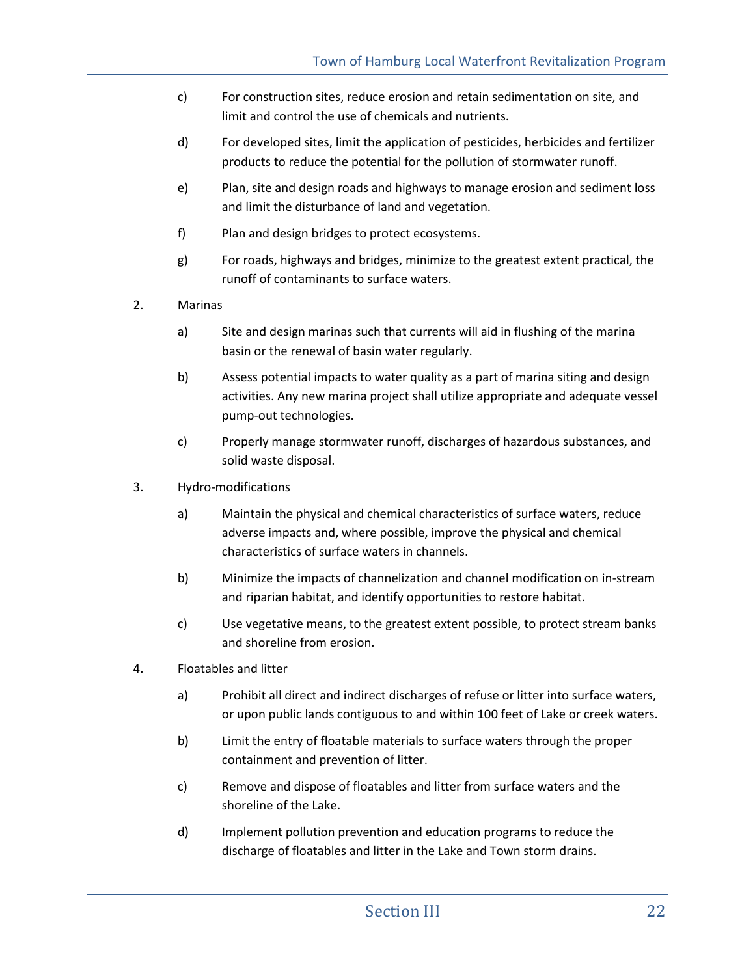- c) For construction sites, reduce erosion and retain sedimentation on site, and limit and control the use of chemicals and nutrients.
- d) For developed sites, limit the application of pesticides, herbicides and fertilizer products to reduce the potential for the pollution of stormwater runoff.
- e) Plan, site and design roads and highways to manage erosion and sediment loss and limit the disturbance of land and vegetation.
- f) Plan and design bridges to protect ecosystems.
- g) For roads, highways and bridges, minimize to the greatest extent practical, the runoff of contaminants to surface waters.
- 2. Marinas
	- a) Site and design marinas such that currents will aid in flushing of the marina basin or the renewal of basin water regularly.
	- b) Assess potential impacts to water quality as a part of marina siting and design activities. Any new marina project shall utilize appropriate and adequate vessel pump-out technologies.
	- c) Properly manage stormwater runoff, discharges of hazardous substances, and solid waste disposal.
- 3. Hydro-modifications
	- a) Maintain the physical and chemical characteristics of surface waters, reduce adverse impacts and, where possible, improve the physical and chemical characteristics of surface waters in channels.
	- b) Minimize the impacts of channelization and channel modification on in-stream and riparian habitat, and identify opportunities to restore habitat.
	- c) Use vegetative means, to the greatest extent possible, to protect stream banks and shoreline from erosion.
- 4. Floatables and litter
	- a) Prohibit all direct and indirect discharges of refuse or litter into surface waters, or upon public lands contiguous to and within 100 feet of Lake or creek waters.
	- b) Limit the entry of floatable materials to surface waters through the proper containment and prevention of litter.
	- c) Remove and dispose of floatables and litter from surface waters and the shoreline of the Lake.
	- d) Implement pollution prevention and education programs to reduce the discharge of floatables and litter in the Lake and Town storm drains.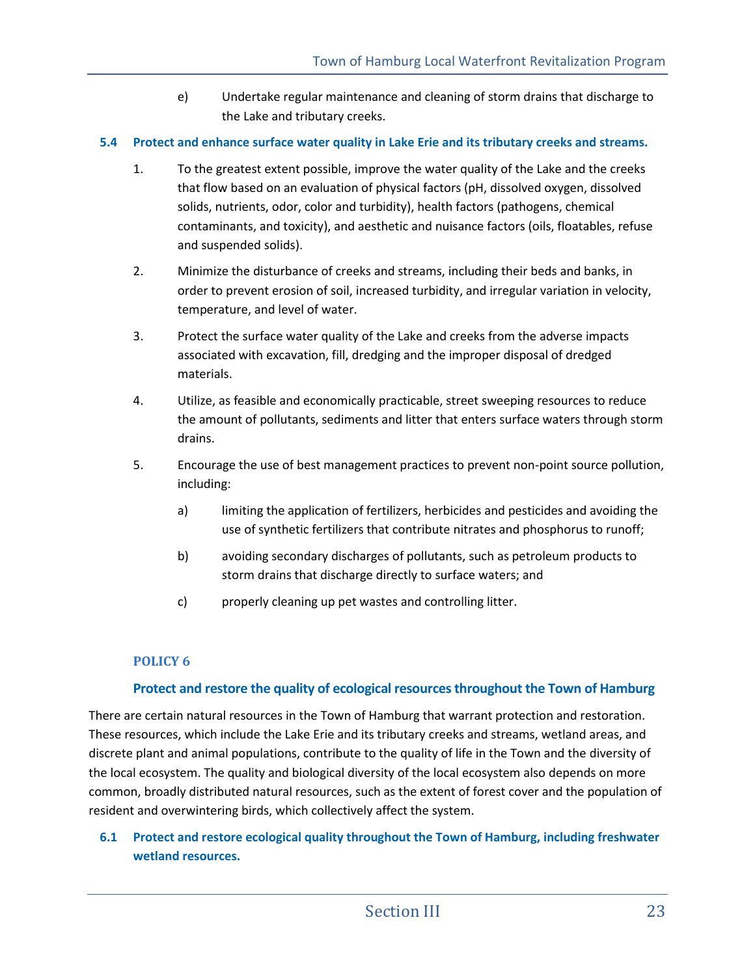e) Undertake regular maintenance and cleaning of storm drains that discharge to the Lake and tributary creeks.

### **5.4 Protect and enhance surface water quality in Lake Erie and its tributary creeks and streams.**

- 1. To the greatest extent possible, improve the water quality of the Lake and the creeks that flow based on an evaluation of physical factors (pH, dissolved oxygen, dissolved solids, nutrients, odor, color and turbidity), health factors (pathogens, chemical contaminants, and toxicity), and aesthetic and nuisance factors (oils, floatables, refuse and suspended solids).
- 2. Minimize the disturbance of creeks and streams, including their beds and banks, in order to prevent erosion of soil, increased turbidity, and irregular variation in velocity, temperature, and level of water.
- 3. Protect the surface water quality of the Lake and creeks from the adverse impacts associated with excavation, fill, dredging and the improper disposal of dredged materials.
- 4. Utilize, as feasible and economically practicable, street sweeping resources to reduce the amount of pollutants, sediments and litter that enters surface waters through storm drains.
- 5. Encourage the use of best management practices to prevent non-point source pollution, including:
	- a) limiting the application of fertilizers, herbicides and pesticides and avoiding the use of synthetic fertilizers that contribute nitrates and phosphorus to runoff;
	- b) avoiding secondary discharges of pollutants, such as petroleum products to storm drains that discharge directly to surface waters; and
	- c) properly cleaning up pet wastes and controlling litter.

## **POLICY 6**

## **Protect and restore the quality of ecological resources throughout the Town of Hamburg**

There are certain natural resources in the Town of Hamburg that warrant protection and restoration. These resources, which include the Lake Erie and its tributary creeks and streams, wetland areas, and discrete plant and animal populations, contribute to the quality of life in the Town and the diversity of the local ecosystem. The quality and biological diversity of the local ecosystem also depends on more common, broadly distributed natural resources, such as the extent of forest cover and the population of resident and overwintering birds, which collectively affect the system.

## **6.1 Protect and restore ecological quality throughout the Town of Hamburg, including freshwater wetland resources.**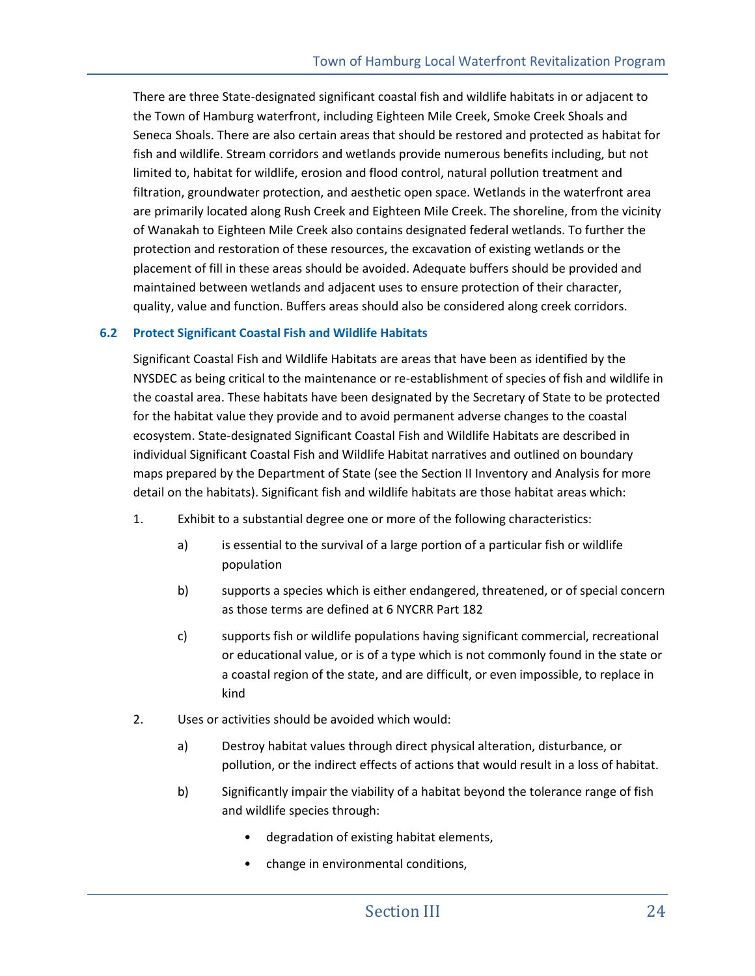There are three State-designated significant coastal fish and wildlife habitats in or adjacent to the Town of Hamburg waterfront, including Eighteen Mile Creek, Smoke Creek Shoals and Seneca Shoals. There are also certain areas that should be restored and protected as habitat for fish and wildlife. Stream corridors and wetlands provide numerous benefits including, but not limited to, habitat for wildlife, erosion and flood control, natural pollution treatment and filtration, groundwater protection, and aesthetic open space. Wetlands in the waterfront area are primarily located along Rush Creek and Eighteen Mile Creek. The shoreline, from the vicinity of Wanakah to Eighteen Mile Creek also contains designated federal wetlands. To further the protection and restoration of these resources, the excavation of existing wetlands or the placement of fill in these areas should be avoided. Adequate buffers should be provided and maintained between wetlands and adjacent uses to ensure protection of their character, quality, value and function. Buffers areas should also be considered along creek corridors.

#### **6.2 Protect Significant Coastal Fish and Wildlife Habitats**

Significant Coastal Fish and Wildlife Habitats are areas that have been as identified by the NYSDEC as being critical to the maintenance or re-establishment of species of fish and wildlife in the coastal area. These habitats have been designated by the Secretary of State to be protected for the habitat value they provide and to avoid permanent adverse changes to the coastal ecosystem. State-designated Significant Coastal Fish and Wildlife Habitats are described in individual Significant Coastal Fish and Wildlife Habitat narratives and outlined on boundary maps prepared by the Department of State (see the Section II Inventory and Analysis for more detail on the habitats). Significant fish and wildlife habitats are those habitat areas which:

- 1. Exhibit to a substantial degree one or more of the following characteristics:
	- a) is essential to the survival of a large portion of a particular fish or wildlife population
	- b) supports a species which is either endangered, threatened, or of special concern as those terms are defined at 6 NYCRR Part 182
	- c) supports fish or wildlife populations having significant commercial, recreational or educational value, or is of a type which is not commonly found in the state or a coastal region of the state, and are difficult, or even impossible, to replace in kind
- 2. Uses or activities should be avoided which would:
	- a) Destroy habitat values through direct physical alteration, disturbance, or pollution, or the indirect effects of actions that would result in a loss of habitat.
	- b) Significantly impair the viability of a habitat beyond the tolerance range of fish and wildlife species through:
		- degradation of existing habitat elements,
		- change in environmental conditions,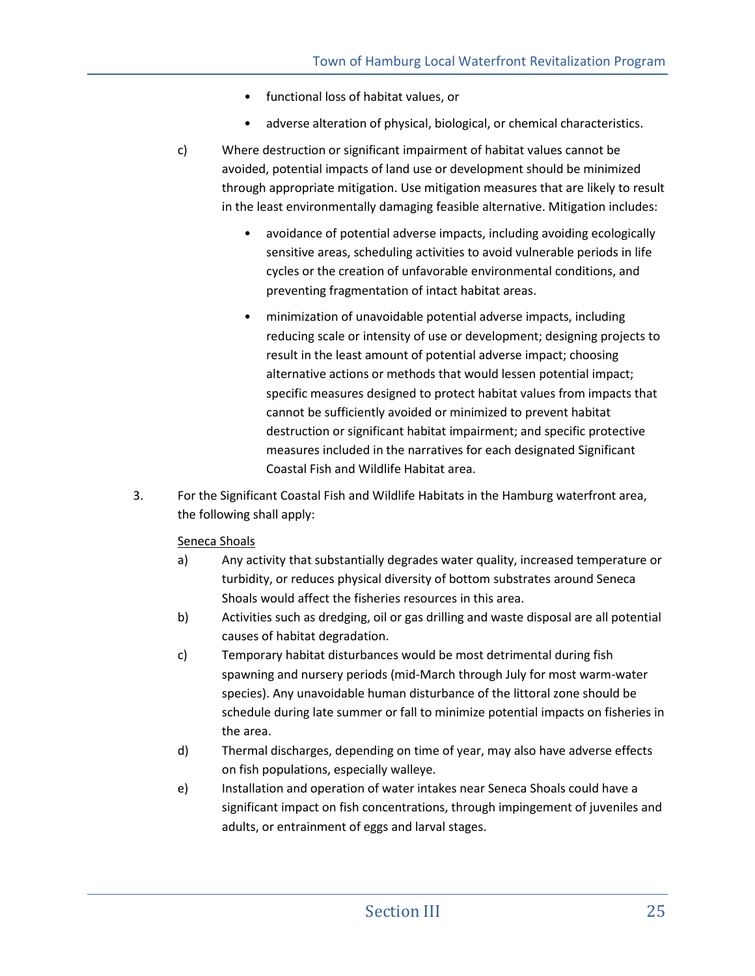- functional loss of habitat values, or
- adverse alteration of physical, biological, or chemical characteristics.
- c) Where destruction or significant impairment of habitat values cannot be avoided, potential impacts of land use or development should be minimized through appropriate mitigation. Use mitigation measures that are likely to result in the least environmentally damaging feasible alternative. Mitigation includes:
	- avoidance of potential adverse impacts, including avoiding ecologically sensitive areas, scheduling activities to avoid vulnerable periods in life cycles or the creation of unfavorable environmental conditions, and preventing fragmentation of intact habitat areas.
	- minimization of unavoidable potential adverse impacts, including reducing scale or intensity of use or development; designing projects to result in the least amount of potential adverse impact; choosing alternative actions or methods that would lessen potential impact; specific measures designed to protect habitat values from impacts that cannot be sufficiently avoided or minimized to prevent habitat destruction or significant habitat impairment; and specific protective measures included in the narratives for each designated Significant Coastal Fish and Wildlife Habitat area.
- 3. For the Significant Coastal Fish and Wildlife Habitats in the Hamburg waterfront area, the following shall apply:

## Seneca Shoals

- a) Any activity that substantially degrades water quality, increased temperature or turbidity, or reduces physical diversity of bottom substrates around Seneca Shoals would affect the fisheries resources in this area.
- b) Activities such as dredging, oil or gas drilling and waste disposal are all potential causes of habitat degradation.
- c) Temporary habitat disturbances would be most detrimental during fish spawning and nursery periods (mid-March through July for most warm-water species). Any unavoidable human disturbance of the littoral zone should be schedule during late summer or fall to minimize potential impacts on fisheries in the area.
- d) Thermal discharges, depending on time of year, may also have adverse effects on fish populations, especially walleye.
- e) Installation and operation of water intakes near Seneca Shoals could have a significant impact on fish concentrations, through impingement of juveniles and adults, or entrainment of eggs and larval stages.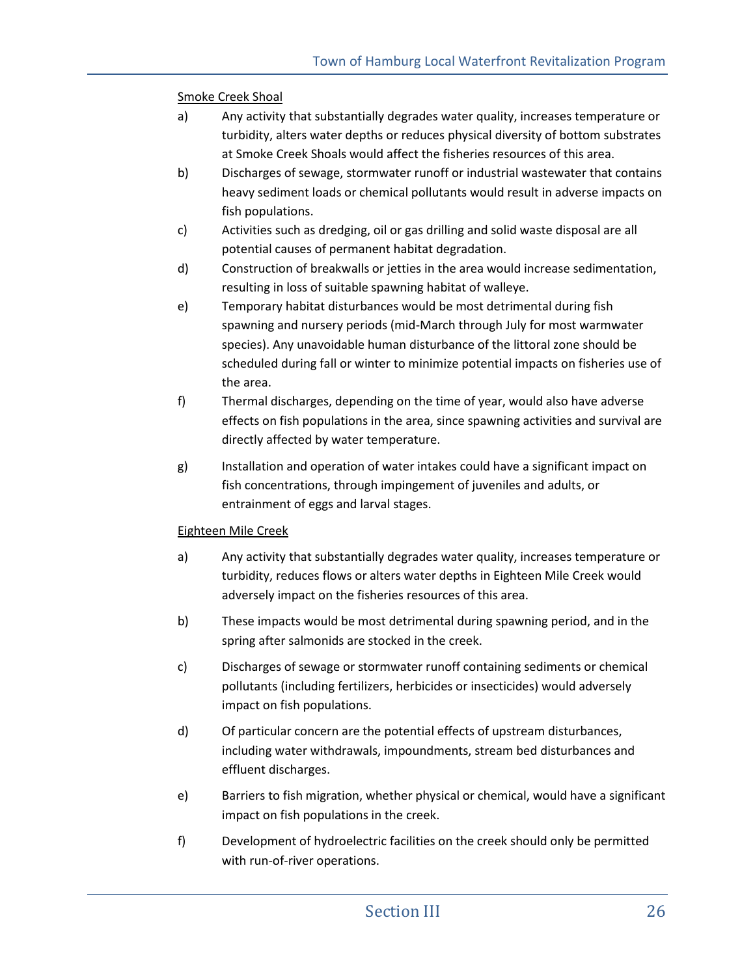Smoke Creek Shoal

- a) Any activity that substantially degrades water quality, increases temperature or turbidity, alters water depths or reduces physical diversity of bottom substrates at Smoke Creek Shoals would affect the fisheries resources of this area.
- b) Discharges of sewage, stormwater runoff or industrial wastewater that contains heavy sediment loads or chemical pollutants would result in adverse impacts on fish populations.
- c) Activities such as dredging, oil or gas drilling and solid waste disposal are all potential causes of permanent habitat degradation.
- d) Construction of breakwalls or jetties in the area would increase sedimentation, resulting in loss of suitable spawning habitat of walleye.
- e) Temporary habitat disturbances would be most detrimental during fish spawning and nursery periods (mid-March through July for most warmwater species). Any unavoidable human disturbance of the littoral zone should be scheduled during fall or winter to minimize potential impacts on fisheries use of the area.
- f) Thermal discharges, depending on the time of year, would also have adverse effects on fish populations in the area, since spawning activities and survival are directly affected by water temperature.
- g) Installation and operation of water intakes could have a significant impact on fish concentrations, through impingement of juveniles and adults, or entrainment of eggs and larval stages.

## Eighteen Mile Creek

- a) Any activity that substantially degrades water quality, increases temperature or turbidity, reduces flows or alters water depths in Eighteen Mile Creek would adversely impact on the fisheries resources of this area.
- b) These impacts would be most detrimental during spawning period, and in the spring after salmonids are stocked in the creek.
- c) Discharges of sewage or stormwater runoff containing sediments or chemical pollutants (including fertilizers, herbicides or insecticides) would adversely impact on fish populations.
- d) Of particular concern are the potential effects of upstream disturbances, including water withdrawals, impoundments, stream bed disturbances and effluent discharges.
- e) Barriers to fish migration, whether physical or chemical, would have a significant impact on fish populations in the creek.
- f) Development of hydroelectric facilities on the creek should only be permitted with run-of-river operations.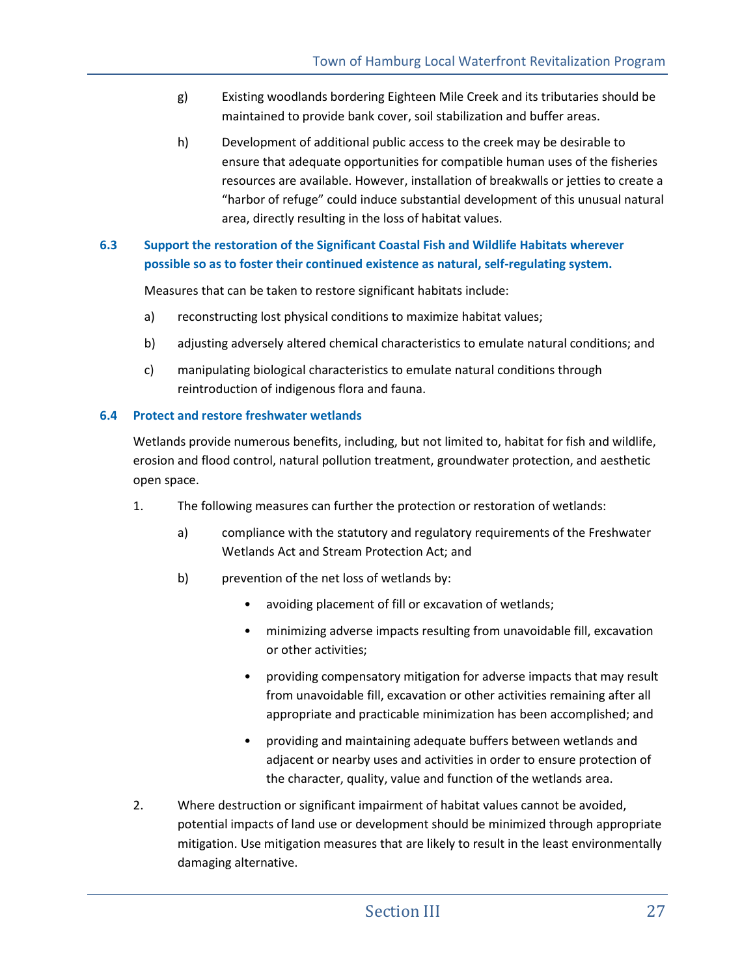- g) Existing woodlands bordering Eighteen Mile Creek and its tributaries should be maintained to provide bank cover, soil stabilization and buffer areas.
- h) Development of additional public access to the creek may be desirable to ensure that adequate opportunities for compatible human uses of the fisheries resources are available. However, installation of breakwalls or jetties to create a "harbor of refuge" could induce substantial development of this unusual natural area, directly resulting in the loss of habitat values.

## **6.3 Support the restoration of the Significant Coastal Fish and Wildlife Habitats wherever possible so as to foster their continued existence as natural, self-regulating system.**

Measures that can be taken to restore significant habitats include:

- a) reconstructing lost physical conditions to maximize habitat values;
- b) adjusting adversely altered chemical characteristics to emulate natural conditions; and
- c) manipulating biological characteristics to emulate natural conditions through reintroduction of indigenous flora and fauna.

### **6.4 Protect and restore freshwater wetlands**

Wetlands provide numerous benefits, including, but not limited to, habitat for fish and wildlife, erosion and flood control, natural pollution treatment, groundwater protection, and aesthetic open space.

- 1. The following measures can further the protection or restoration of wetlands:
	- a) compliance with the statutory and regulatory requirements of the Freshwater Wetlands Act and Stream Protection Act; and
	- b) prevention of the net loss of wetlands by:
		- avoiding placement of fill or excavation of wetlands;
		- minimizing adverse impacts resulting from unavoidable fill, excavation or other activities;
		- providing compensatory mitigation for adverse impacts that may result from unavoidable fill, excavation or other activities remaining after all appropriate and practicable minimization has been accomplished; and
		- providing and maintaining adequate buffers between wetlands and adjacent or nearby uses and activities in order to ensure protection of the character, quality, value and function of the wetlands area.
- 2. Where destruction or significant impairment of habitat values cannot be avoided, potential impacts of land use or development should be minimized through appropriate mitigation. Use mitigation measures that are likely to result in the least environmentally damaging alternative.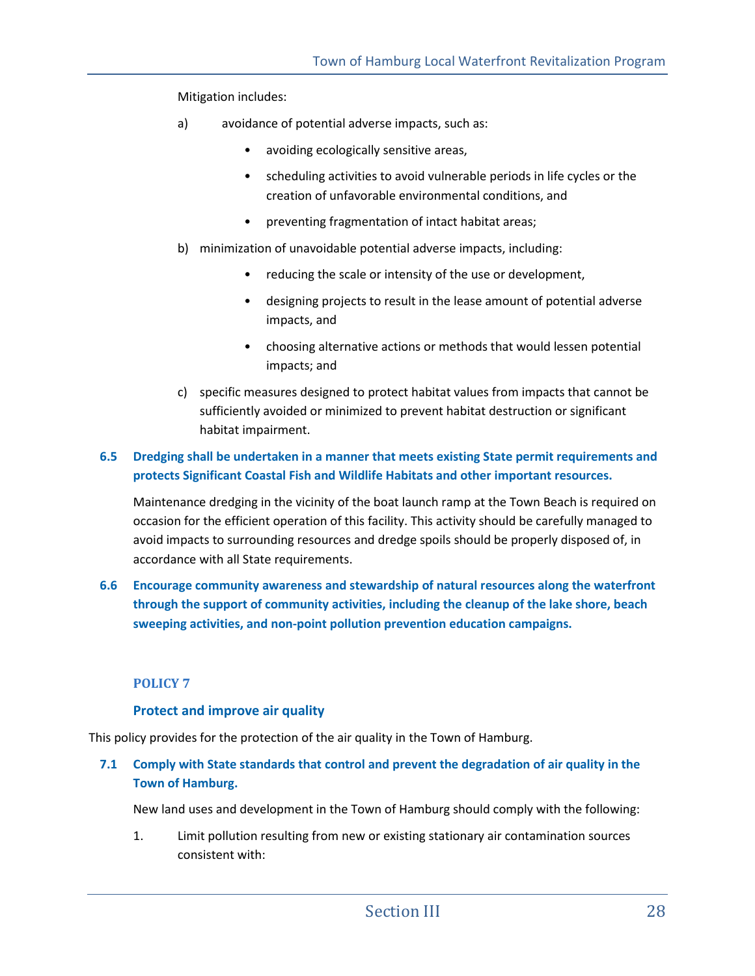Mitigation includes:

- a) avoidance of potential adverse impacts, such as:
	- avoiding ecologically sensitive areas,
	- scheduling activities to avoid vulnerable periods in life cycles or the creation of unfavorable environmental conditions, and
	- preventing fragmentation of intact habitat areas;
- b) minimization of unavoidable potential adverse impacts, including:
	- reducing the scale or intensity of the use or development,
	- designing projects to result in the lease amount of potential adverse impacts, and
	- choosing alternative actions or methods that would lessen potential impacts; and
- c) specific measures designed to protect habitat values from impacts that cannot be sufficiently avoided or minimized to prevent habitat destruction or significant habitat impairment.

### **6.5 Dredging shall be undertaken in a manner that meets existing State permit requirements and protects Significant Coastal Fish and Wildlife Habitats and other important resources.**

Maintenance dredging in the vicinity of the boat launch ramp at the Town Beach is required on occasion for the efficient operation of this facility. This activity should be carefully managed to avoid impacts to surrounding resources and dredge spoils should be properly disposed of, in accordance with all State requirements.

**6.6 Encourage community awareness and stewardship of natural resources along the waterfront through the support of community activities, including the cleanup of the lake shore, beach sweeping activities, and non-point pollution prevention education campaigns.** 

#### **POLICY 7**

#### **Protect and improve air quality**

This policy provides for the protection of the air quality in the Town of Hamburg.

**7.1 Comply with State standards that control and prevent the degradation of air quality in the Town of Hamburg.** 

New land uses and development in the Town of Hamburg should comply with the following:

1. Limit pollution resulting from new or existing stationary air contamination sources consistent with: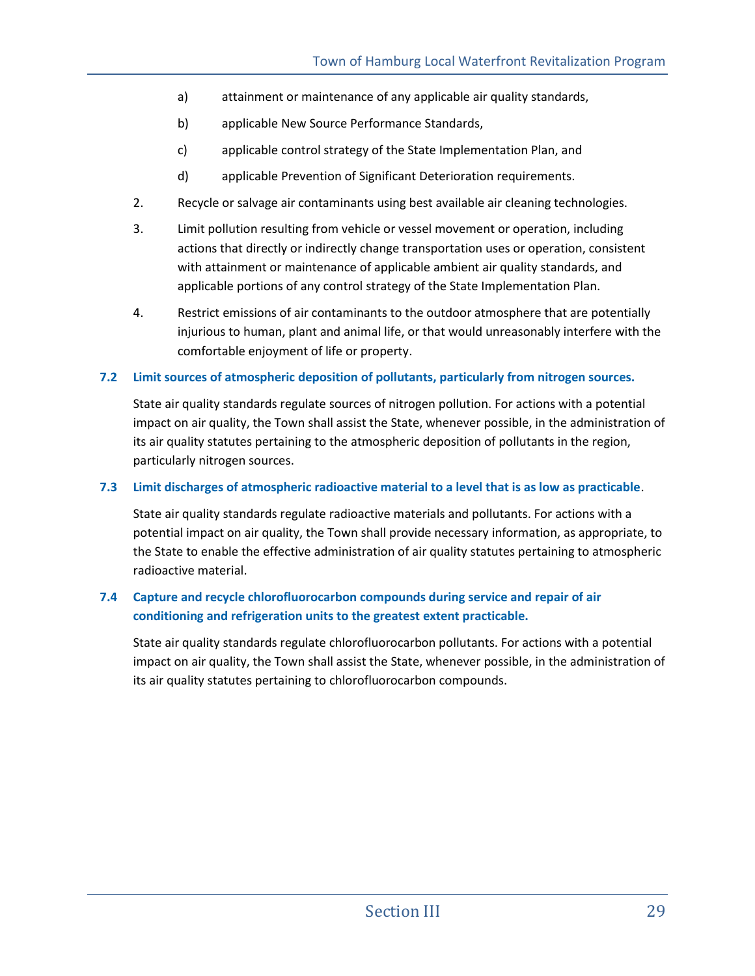- a) attainment or maintenance of any applicable air quality standards,
- b) applicable New Source Performance Standards,
- c) applicable control strategy of the State Implementation Plan, and
- d) applicable Prevention of Significant Deterioration requirements.
- 2. Recycle or salvage air contaminants using best available air cleaning technologies.
- 3. Limit pollution resulting from vehicle or vessel movement or operation, including actions that directly or indirectly change transportation uses or operation, consistent with attainment or maintenance of applicable ambient air quality standards, and applicable portions of any control strategy of the State Implementation Plan.
- 4. Restrict emissions of air contaminants to the outdoor atmosphere that are potentially injurious to human, plant and animal life, or that would unreasonably interfere with the comfortable enjoyment of life or property.

#### **7.2 Limit sources of atmospheric deposition of pollutants, particularly from nitrogen sources.**

State air quality standards regulate sources of nitrogen pollution. For actions with a potential impact on air quality, the Town shall assist the State, whenever possible, in the administration of its air quality statutes pertaining to the atmospheric deposition of pollutants in the region, particularly nitrogen sources.

#### **7.3 Limit discharges of atmospheric radioactive material to a level that is as low as practicable**.

State air quality standards regulate radioactive materials and pollutants. For actions with a potential impact on air quality, the Town shall provide necessary information, as appropriate, to the State to enable the effective administration of air quality statutes pertaining to atmospheric radioactive material.

## **7.4 Capture and recycle chlorofluorocarbon compounds during service and repair of air conditioning and refrigeration units to the greatest extent practicable.**

State air quality standards regulate chlorofluorocarbon pollutants. For actions with a potential impact on air quality, the Town shall assist the State, whenever possible, in the administration of its air quality statutes pertaining to chlorofluorocarbon compounds.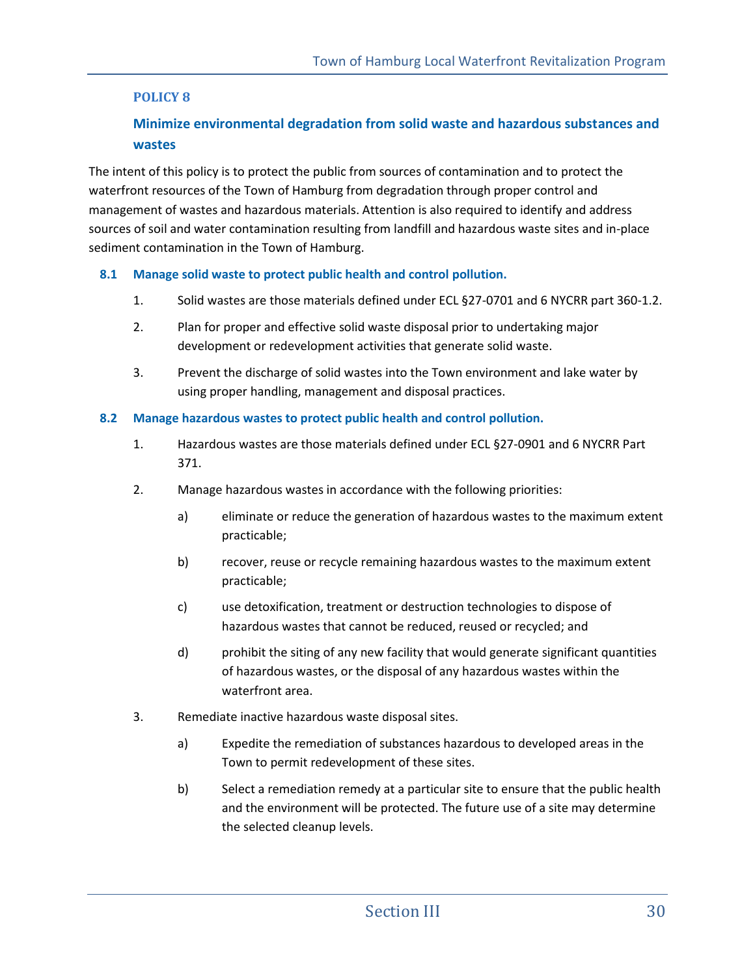## **POLICY 8**

## **Minimize environmental degradation from solid waste and hazardous substances and wastes**

The intent of this policy is to protect the public from sources of contamination and to protect the waterfront resources of the Town of Hamburg from degradation through proper control and management of wastes and hazardous materials. Attention is also required to identify and address sources of soil and water contamination resulting from landfill and hazardous waste sites and in-place sediment contamination in the Town of Hamburg.

### **8.1 Manage solid waste to protect public health and control pollution.**

- 1. Solid wastes are those materials defined under ECL §27-0701 and 6 NYCRR part 360-1.2.
- 2. Plan for proper and effective solid waste disposal prior to undertaking major development or redevelopment activities that generate solid waste.
- 3. Prevent the discharge of solid wastes into the Town environment and lake water by using proper handling, management and disposal practices.

### **8.2 Manage hazardous wastes to protect public health and control pollution.**

- 1. Hazardous wastes are those materials defined under ECL §27-0901 and 6 NYCRR Part 371.
- 2. Manage hazardous wastes in accordance with the following priorities:
	- a) eliminate or reduce the generation of hazardous wastes to the maximum extent practicable;
	- b) recover, reuse or recycle remaining hazardous wastes to the maximum extent practicable;
	- c) use detoxification, treatment or destruction technologies to dispose of hazardous wastes that cannot be reduced, reused or recycled; and
	- d) prohibit the siting of any new facility that would generate significant quantities of hazardous wastes, or the disposal of any hazardous wastes within the waterfront area.
- 3. Remediate inactive hazardous waste disposal sites.
	- a) Expedite the remediation of substances hazardous to developed areas in the Town to permit redevelopment of these sites.
	- b) Select a remediation remedy at a particular site to ensure that the public health and the environment will be protected. The future use of a site may determine the selected cleanup levels.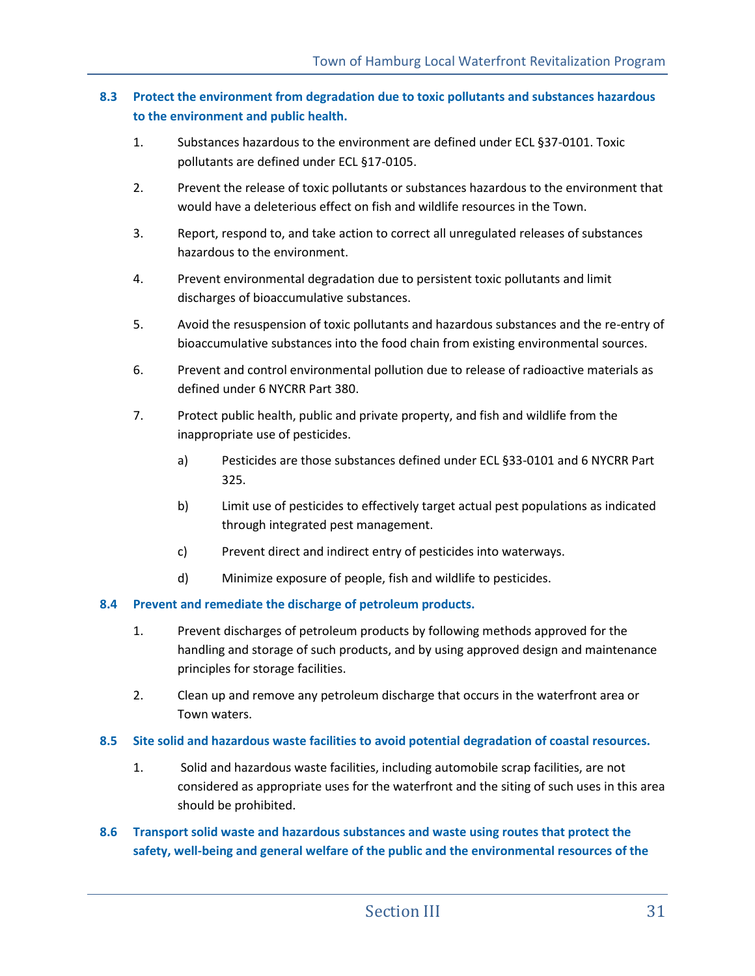### **8.3 Protect the environment from degradation due to toxic pollutants and substances hazardous to the environment and public health.**

- 1. Substances hazardous to the environment are defined under ECL §37-0101. Toxic pollutants are defined under ECL §17-0105.
- 2. Prevent the release of toxic pollutants or substances hazardous to the environment that would have a deleterious effect on fish and wildlife resources in the Town.
- 3. Report, respond to, and take action to correct all unregulated releases of substances hazardous to the environment.
- 4. Prevent environmental degradation due to persistent toxic pollutants and limit discharges of bioaccumulative substances.
- 5. Avoid the resuspension of toxic pollutants and hazardous substances and the re-entry of bioaccumulative substances into the food chain from existing environmental sources.
- 6. Prevent and control environmental pollution due to release of radioactive materials as defined under 6 NYCRR Part 380.
- 7. Protect public health, public and private property, and fish and wildlife from the inappropriate use of pesticides.
	- a) Pesticides are those substances defined under ECL §33-0101 and 6 NYCRR Part 325.
	- b) Limit use of pesticides to effectively target actual pest populations as indicated through integrated pest management.
	- c) Prevent direct and indirect entry of pesticides into waterways.
	- d) Minimize exposure of people, fish and wildlife to pesticides.

#### **8.4 Prevent and remediate the discharge of petroleum products.**

- 1. Prevent discharges of petroleum products by following methods approved for the handling and storage of such products, and by using approved design and maintenance principles for storage facilities.
- 2. Clean up and remove any petroleum discharge that occurs in the waterfront area or Town waters.

#### **8.5 Site solid and hazardous waste facilities to avoid potential degradation of coastal resources.**

1. Solid and hazardous waste facilities, including automobile scrap facilities, are not considered as appropriate uses for the waterfront and the siting of such uses in this area should be prohibited.

## **8.6 Transport solid waste and hazardous substances and waste using routes that protect the safety, well-being and general welfare of the public and the environmental resources of the**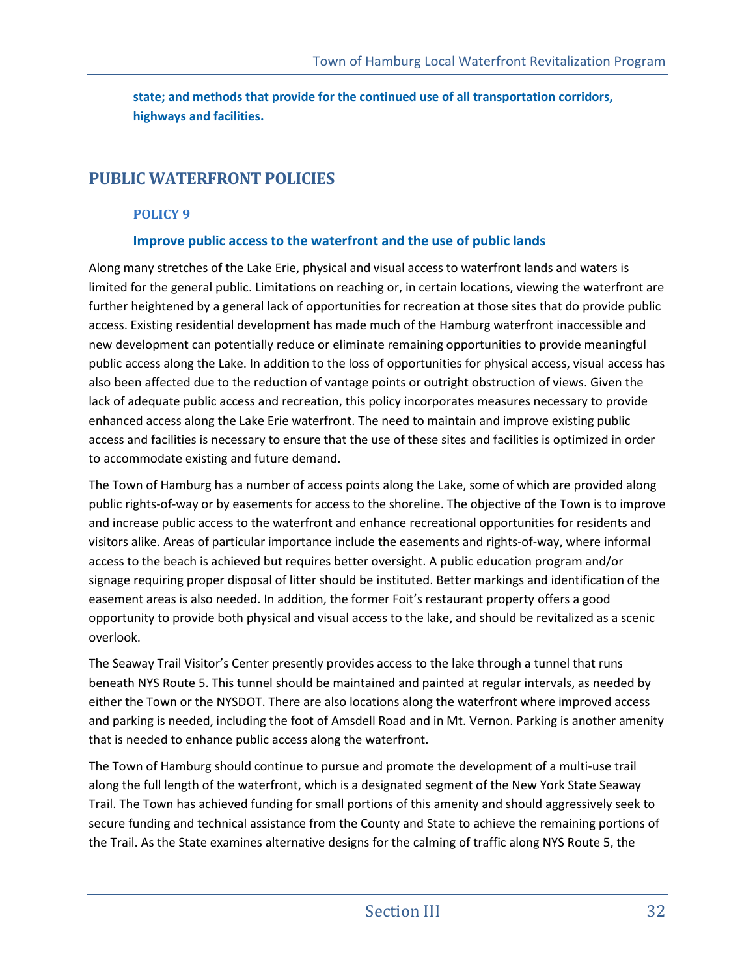**state; and methods that provide for the continued use of all transportation corridors, highways and facilities.** 

# **PUBLIC WATERFRONT POLICIES**

## **POLICY 9**

## **Improve public access to the waterfront and the use of public lands**

Along many stretches of the Lake Erie, physical and visual access to waterfront lands and waters is limited for the general public. Limitations on reaching or, in certain locations, viewing the waterfront are further heightened by a general lack of opportunities for recreation at those sites that do provide public access. Existing residential development has made much of the Hamburg waterfront inaccessible and new development can potentially reduce or eliminate remaining opportunities to provide meaningful public access along the Lake. In addition to the loss of opportunities for physical access, visual access has also been affected due to the reduction of vantage points or outright obstruction of views. Given the lack of adequate public access and recreation, this policy incorporates measures necessary to provide enhanced access along the Lake Erie waterfront. The need to maintain and improve existing public access and facilities is necessary to ensure that the use of these sites and facilities is optimized in order to accommodate existing and future demand.

The Town of Hamburg has a number of access points along the Lake, some of which are provided along public rights-of-way or by easements for access to the shoreline. The objective of the Town is to improve and increase public access to the waterfront and enhance recreational opportunities for residents and visitors alike. Areas of particular importance include the easements and rights-of-way, where informal access to the beach is achieved but requires better oversight. A public education program and/or signage requiring proper disposal of litter should be instituted. Better markings and identification of the easement areas is also needed. In addition, the former Foit's restaurant property offers a good opportunity to provide both physical and visual access to the lake, and should be revitalized as a scenic overlook.

The Seaway Trail Visitor's Center presently provides access to the lake through a tunnel that runs beneath NYS Route 5. This tunnel should be maintained and painted at regular intervals, as needed by either the Town or the NYSDOT. There are also locations along the waterfront where improved access and parking is needed, including the foot of Amsdell Road and in Mt. Vernon. Parking is another amenity that is needed to enhance public access along the waterfront.

The Town of Hamburg should continue to pursue and promote the development of a multi-use trail along the full length of the waterfront, which is a designated segment of the New York State Seaway Trail. The Town has achieved funding for small portions of this amenity and should aggressively seek to secure funding and technical assistance from the County and State to achieve the remaining portions of the Trail. As the State examines alternative designs for the calming of traffic along NYS Route 5, the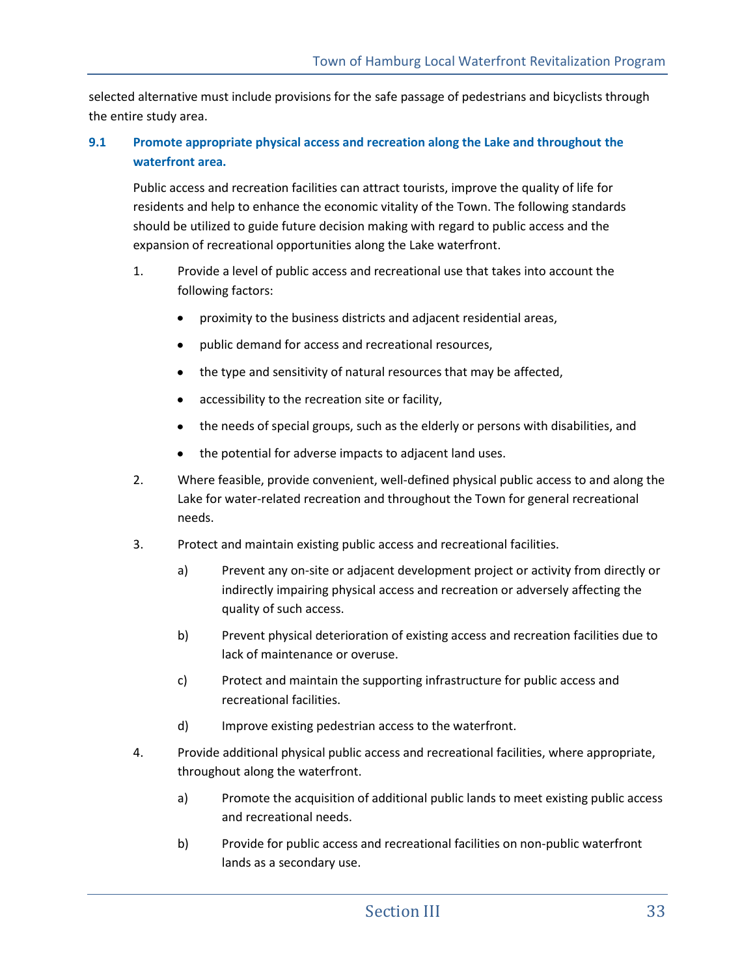selected alternative must include provisions for the safe passage of pedestrians and bicyclists through the entire study area.

## **9.1 Promote appropriate physical access and recreation along the Lake and throughout the waterfront area.**

Public access and recreation facilities can attract tourists, improve the quality of life for residents and help to enhance the economic vitality of the Town. The following standards should be utilized to guide future decision making with regard to public access and the expansion of recreational opportunities along the Lake waterfront.

- 1. Provide a level of public access and recreational use that takes into account the following factors:
	- proximity to the business districts and adjacent residential areas,
	- public demand for access and recreational resources,
	- the type and sensitivity of natural resources that may be affected,  $\bullet$
	- accessibility to the recreation site or facility,
	- the needs of special groups, such as the elderly or persons with disabilities, and  $\bullet$
	- the potential for adverse impacts to adjacent land uses.  $\bullet$
- 2. Where feasible, provide convenient, well-defined physical public access to and along the Lake for water-related recreation and throughout the Town for general recreational needs.
- 3. Protect and maintain existing public access and recreational facilities.
	- a) Prevent any on-site or adjacent development project or activity from directly or indirectly impairing physical access and recreation or adversely affecting the quality of such access.
	- b) Prevent physical deterioration of existing access and recreation facilities due to lack of maintenance or overuse.
	- c) Protect and maintain the supporting infrastructure for public access and recreational facilities.
	- d) Improve existing pedestrian access to the waterfront.
- 4. Provide additional physical public access and recreational facilities, where appropriate, throughout along the waterfront.
	- a) Promote the acquisition of additional public lands to meet existing public access and recreational needs.
	- b) Provide for public access and recreational facilities on non-public waterfront lands as a secondary use.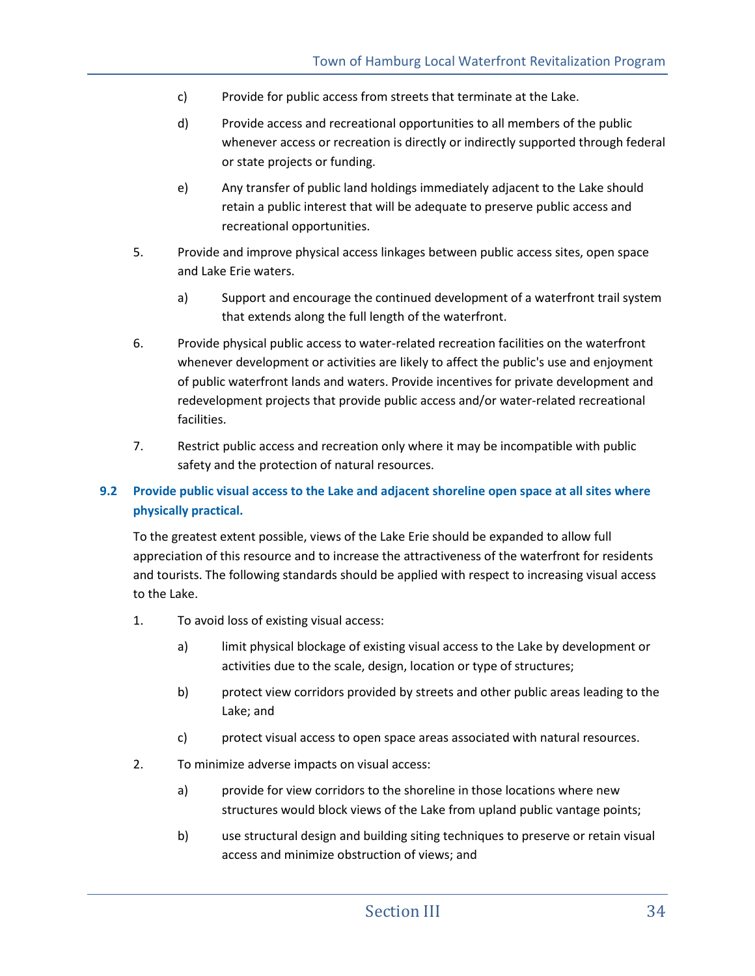- c) Provide for public access from streets that terminate at the Lake.
- d) Provide access and recreational opportunities to all members of the public whenever access or recreation is directly or indirectly supported through federal or state projects or funding.
- e) Any transfer of public land holdings immediately adjacent to the Lake should retain a public interest that will be adequate to preserve public access and recreational opportunities.
- 5. Provide and improve physical access linkages between public access sites, open space and Lake Erie waters.
	- a) Support and encourage the continued development of a waterfront trail system that extends along the full length of the waterfront.
- 6. Provide physical public access to water-related recreation facilities on the waterfront whenever development or activities are likely to affect the public's use and enjoyment of public waterfront lands and waters. Provide incentives for private development and redevelopment projects that provide public access and/or water-related recreational facilities.
- 7. Restrict public access and recreation only where it may be incompatible with public safety and the protection of natural resources.

## **9.2 Provide public visual access to the Lake and adjacent shoreline open space at all sites where physically practical.**

To the greatest extent possible, views of the Lake Erie should be expanded to allow full appreciation of this resource and to increase the attractiveness of the waterfront for residents and tourists. The following standards should be applied with respect to increasing visual access to the Lake.

- 1. To avoid loss of existing visual access:
	- a) limit physical blockage of existing visual access to the Lake by development or activities due to the scale, design, location or type of structures;
	- b) protect view corridors provided by streets and other public areas leading to the Lake; and
	- c) protect visual access to open space areas associated with natural resources.
- 2. To minimize adverse impacts on visual access:
	- a) provide for view corridors to the shoreline in those locations where new structures would block views of the Lake from upland public vantage points;
	- b) use structural design and building siting techniques to preserve or retain visual access and minimize obstruction of views; and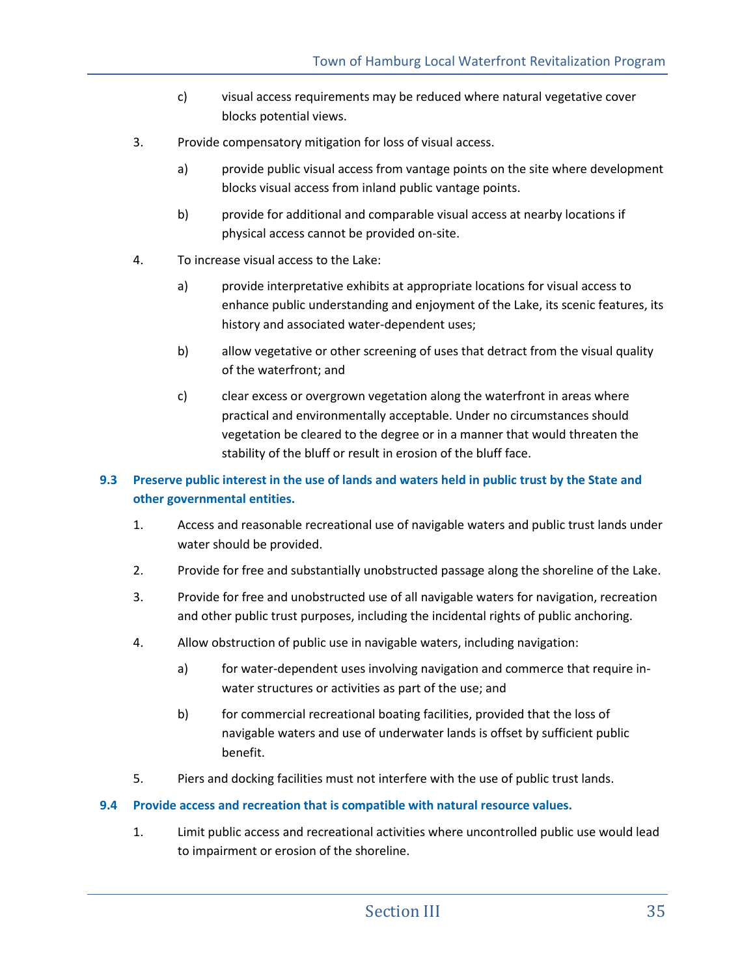- c) visual access requirements may be reduced where natural vegetative cover blocks potential views.
- 3. Provide compensatory mitigation for loss of visual access.
	- a) provide public visual access from vantage points on the site where development blocks visual access from inland public vantage points.
	- b) provide for additional and comparable visual access at nearby locations if physical access cannot be provided on-site.
- 4. To increase visual access to the Lake:
	- a) provide interpretative exhibits at appropriate locations for visual access to enhance public understanding and enjoyment of the Lake, its scenic features, its history and associated water-dependent uses;
	- b) allow vegetative or other screening of uses that detract from the visual quality of the waterfront; and
	- c) clear excess or overgrown vegetation along the waterfront in areas where practical and environmentally acceptable. Under no circumstances should vegetation be cleared to the degree or in a manner that would threaten the stability of the bluff or result in erosion of the bluff face.

## **9.3 Preserve public interest in the use of lands and waters held in public trust by the State and other governmental entities.**

- 1. Access and reasonable recreational use of navigable waters and public trust lands under water should be provided.
- 2. Provide for free and substantially unobstructed passage along the shoreline of the Lake.
- 3. Provide for free and unobstructed use of all navigable waters for navigation, recreation and other public trust purposes, including the incidental rights of public anchoring.
- 4. Allow obstruction of public use in navigable waters, including navigation:
	- a) for water-dependent uses involving navigation and commerce that require inwater structures or activities as part of the use; and
	- b) for commercial recreational boating facilities, provided that the loss of navigable waters and use of underwater lands is offset by sufficient public benefit.
- 5. Piers and docking facilities must not interfere with the use of public trust lands.

#### **9.4 Provide access and recreation that is compatible with natural resource values.**

1. Limit public access and recreational activities where uncontrolled public use would lead to impairment or erosion of the shoreline.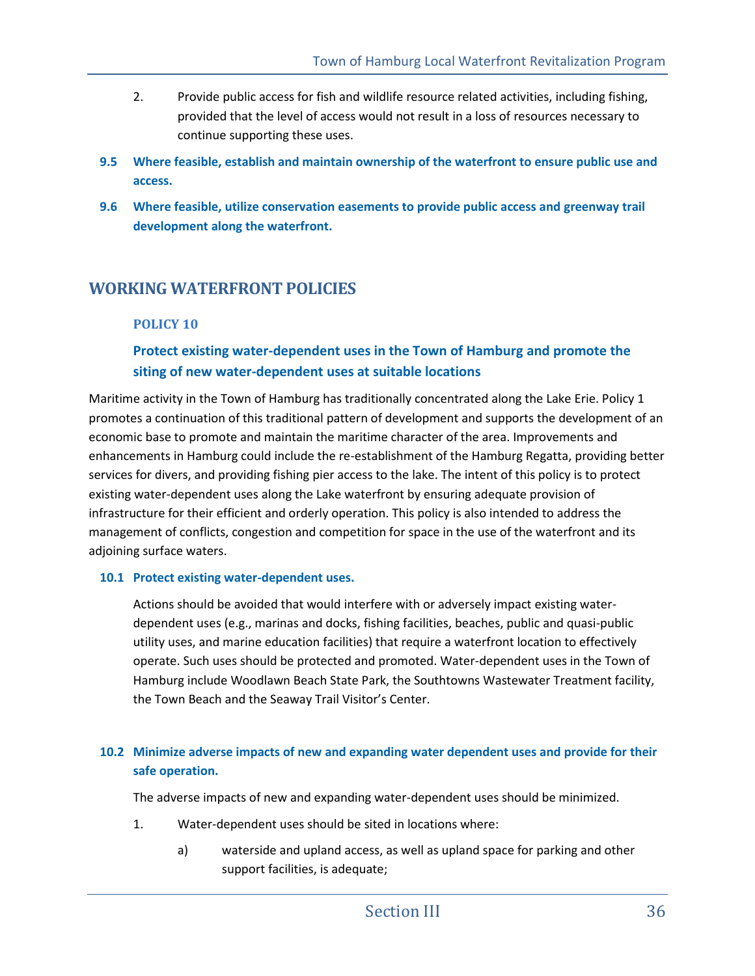- 2. Provide public access for fish and wildlife resource related activities, including fishing, provided that the level of access would not result in a loss of resources necessary to continue supporting these uses.
- **9.5 Where feasible, establish and maintain ownership of the waterfront to ensure public use and access.**
- **9.6 Where feasible, utilize conservation easements to provide public access and greenway trail development along the waterfront.**

## **WORKING WATERFRONT POLICIES**

## **POLICY 10**

## **Protect existing water-dependent uses in the Town of Hamburg and promote the siting of new water-dependent uses at suitable locations**

Maritime activity in the Town of Hamburg has traditionally concentrated along the Lake Erie. Policy 1 promotes a continuation of this traditional pattern of development and supports the development of an economic base to promote and maintain the maritime character of the area. Improvements and enhancements in Hamburg could include the re-establishment of the Hamburg Regatta, providing better services for divers, and providing fishing pier access to the lake. The intent of this policy is to protect existing water-dependent uses along the Lake waterfront by ensuring adequate provision of infrastructure for their efficient and orderly operation. This policy is also intended to address the management of conflicts, congestion and competition for space in the use of the waterfront and its adjoining surface waters.

#### **10.1 Protect existing water-dependent uses.**

Actions should be avoided that would interfere with or adversely impact existing waterdependent uses (e.g., marinas and docks, fishing facilities, beaches, public and quasi-public utility uses, and marine education facilities) that require a waterfront location to effectively operate. Such uses should be protected and promoted. Water-dependent uses in the Town of Hamburg include Woodlawn Beach State Park, the Southtowns Wastewater Treatment facility, the Town Beach and the Seaway Trail Visitor's Center.

## **10.2 Minimize adverse impacts of new and expanding water dependent uses and provide for their safe operation.**

The adverse impacts of new and expanding water-dependent uses should be minimized.

- 1. Water-dependent uses should be sited in locations where:
	- a) waterside and upland access, as well as upland space for parking and other support facilities, is adequate;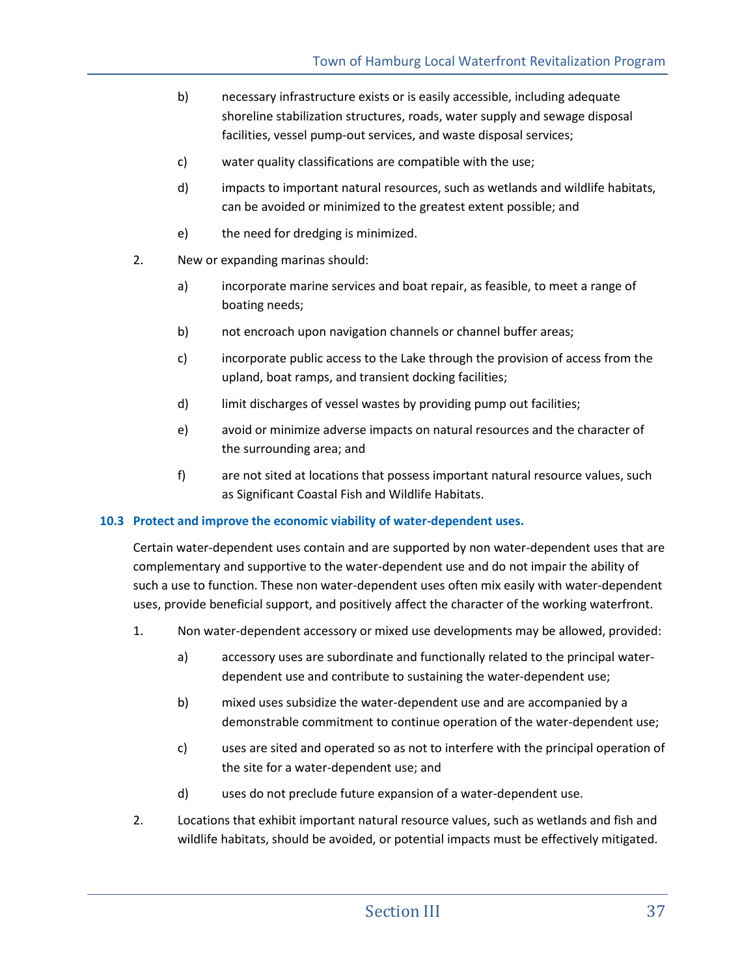- b) necessary infrastructure exists or is easily accessible, including adequate shoreline stabilization structures, roads, water supply and sewage disposal facilities, vessel pump-out services, and waste disposal services;
- c) water quality classifications are compatible with the use;
- d) impacts to important natural resources, such as wetlands and wildlife habitats, can be avoided or minimized to the greatest extent possible; and
- e) the need for dredging is minimized.
- 2. New or expanding marinas should:
	- a) incorporate marine services and boat repair, as feasible, to meet a range of boating needs;
	- b) not encroach upon navigation channels or channel buffer areas;
	- c) incorporate public access to the Lake through the provision of access from the upland, boat ramps, and transient docking facilities;
	- d) limit discharges of vessel wastes by providing pump out facilities;
	- e) avoid or minimize adverse impacts on natural resources and the character of the surrounding area; and
	- f) are not sited at locations that possess important natural resource values, such as Significant Coastal Fish and Wildlife Habitats.

#### **10.3 Protect and improve the economic viability of water-dependent uses.**

Certain water-dependent uses contain and are supported by non water-dependent uses that are complementary and supportive to the water-dependent use and do not impair the ability of such a use to function. These non water-dependent uses often mix easily with water-dependent uses, provide beneficial support, and positively affect the character of the working waterfront.

- 1. Non water-dependent accessory or mixed use developments may be allowed, provided:
	- a) accessory uses are subordinate and functionally related to the principal waterdependent use and contribute to sustaining the water-dependent use;
	- b) mixed uses subsidize the water-dependent use and are accompanied by a demonstrable commitment to continue operation of the water-dependent use;
	- c) uses are sited and operated so as not to interfere with the principal operation of the site for a water-dependent use; and
	- d) uses do not preclude future expansion of a water-dependent use.
- 2. Locations that exhibit important natural resource values, such as wetlands and fish and wildlife habitats, should be avoided, or potential impacts must be effectively mitigated.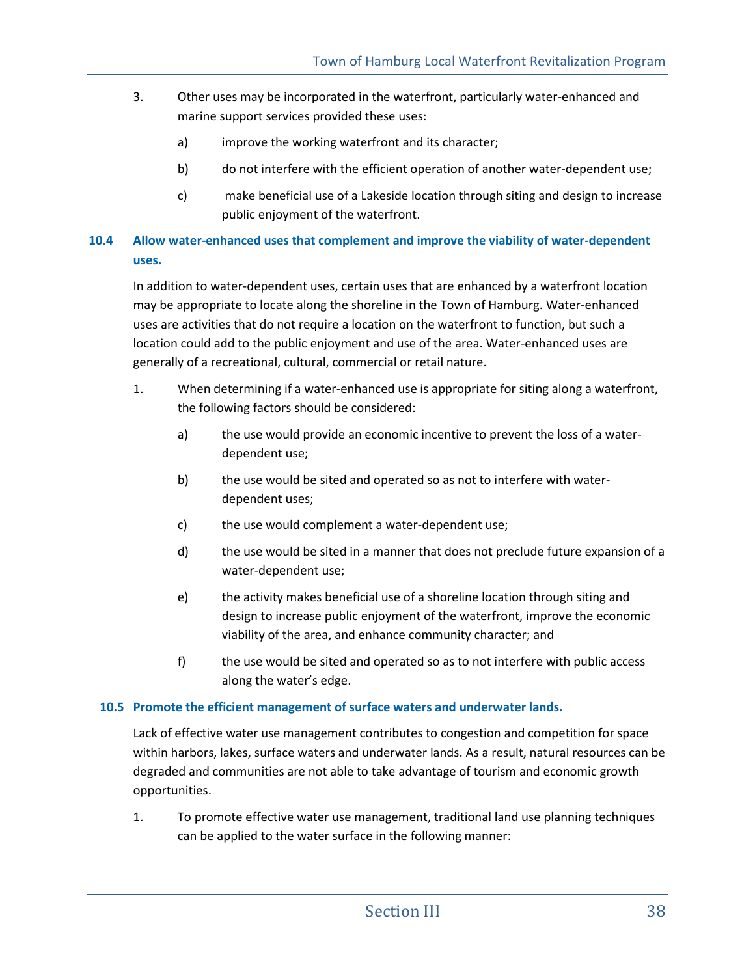- 3. Other uses may be incorporated in the waterfront, particularly water-enhanced and marine support services provided these uses:
	- a) improve the working waterfront and its character;
	- b) do not interfere with the efficient operation of another water-dependent use;
	- c) make beneficial use of a Lakeside location through siting and design to increase public enjoyment of the waterfront.

## **10.4 Allow water-enhanced uses that complement and improve the viability of water-dependent uses.**

In addition to water-dependent uses, certain uses that are enhanced by a waterfront location may be appropriate to locate along the shoreline in the Town of Hamburg. Water-enhanced uses are activities that do not require a location on the waterfront to function, but such a location could add to the public enjoyment and use of the area. Water-enhanced uses are generally of a recreational, cultural, commercial or retail nature.

- 1. When determining if a water-enhanced use is appropriate for siting along a waterfront, the following factors should be considered:
	- a) the use would provide an economic incentive to prevent the loss of a waterdependent use;
	- b) the use would be sited and operated so as not to interfere with waterdependent uses;
	- c) the use would complement a water-dependent use;
	- d) the use would be sited in a manner that does not preclude future expansion of a water-dependent use;
	- e) the activity makes beneficial use of a shoreline location through siting and design to increase public enjoyment of the waterfront, improve the economic viability of the area, and enhance community character; and
	- f) the use would be sited and operated so as to not interfere with public access along the water's edge.

## **10.5 Promote the efficient management of surface waters and underwater lands.**

Lack of effective water use management contributes to congestion and competition for space within harbors, lakes, surface waters and underwater lands. As a result, natural resources can be degraded and communities are not able to take advantage of tourism and economic growth opportunities.

1. To promote effective water use management, traditional land use planning techniques can be applied to the water surface in the following manner: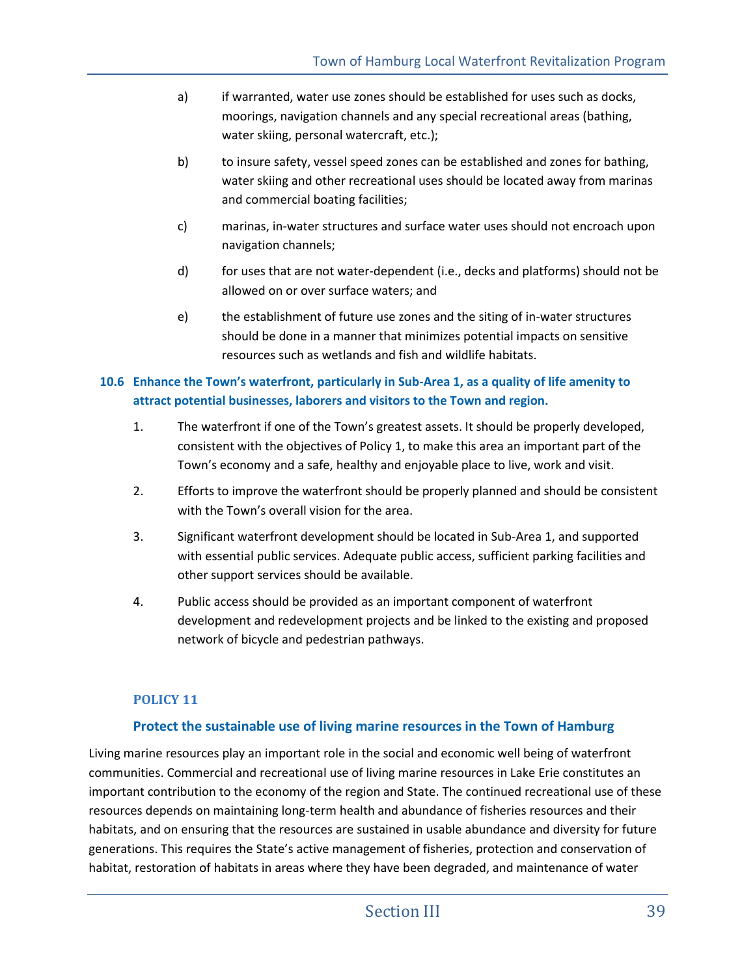- a) if warranted, water use zones should be established for uses such as docks, moorings, navigation channels and any special recreational areas (bathing, water skiing, personal watercraft, etc.);
- b) to insure safety, vessel speed zones can be established and zones for bathing, water skiing and other recreational uses should be located away from marinas and commercial boating facilities;
- c) marinas, in-water structures and surface water uses should not encroach upon navigation channels;
- d) for uses that are not water-dependent (i.e., decks and platforms) should not be allowed on or over surface waters; and
- e) the establishment of future use zones and the siting of in-water structures should be done in a manner that minimizes potential impacts on sensitive resources such as wetlands and fish and wildlife habitats.

## **10.6 Enhance the Town's waterfront, particularly in Sub-Area 1, as a quality of life amenity to attract potential businesses, laborers and visitors to the Town and region.**

- 1. The waterfront if one of the Town's greatest assets. It should be properly developed, consistent with the objectives of Policy 1, to make this area an important part of the Town's economy and a safe, healthy and enjoyable place to live, work and visit.
- 2. Efforts to improve the waterfront should be properly planned and should be consistent with the Town's overall vision for the area.
- 3. Significant waterfront development should be located in Sub-Area 1, and supported with essential public services. Adequate public access, sufficient parking facilities and other support services should be available.
- 4. Public access should be provided as an important component of waterfront development and redevelopment projects and be linked to the existing and proposed network of bicycle and pedestrian pathways.

## **POLICY 11**

## **Protect the sustainable use of living marine resources in the Town of Hamburg**

Living marine resources play an important role in the social and economic well being of waterfront communities. Commercial and recreational use of living marine resources in Lake Erie constitutes an important contribution to the economy of the region and State. The continued recreational use of these resources depends on maintaining long-term health and abundance of fisheries resources and their habitats, and on ensuring that the resources are sustained in usable abundance and diversity for future generations. This requires the State's active management of fisheries, protection and conservation of habitat, restoration of habitats in areas where they have been degraded, and maintenance of water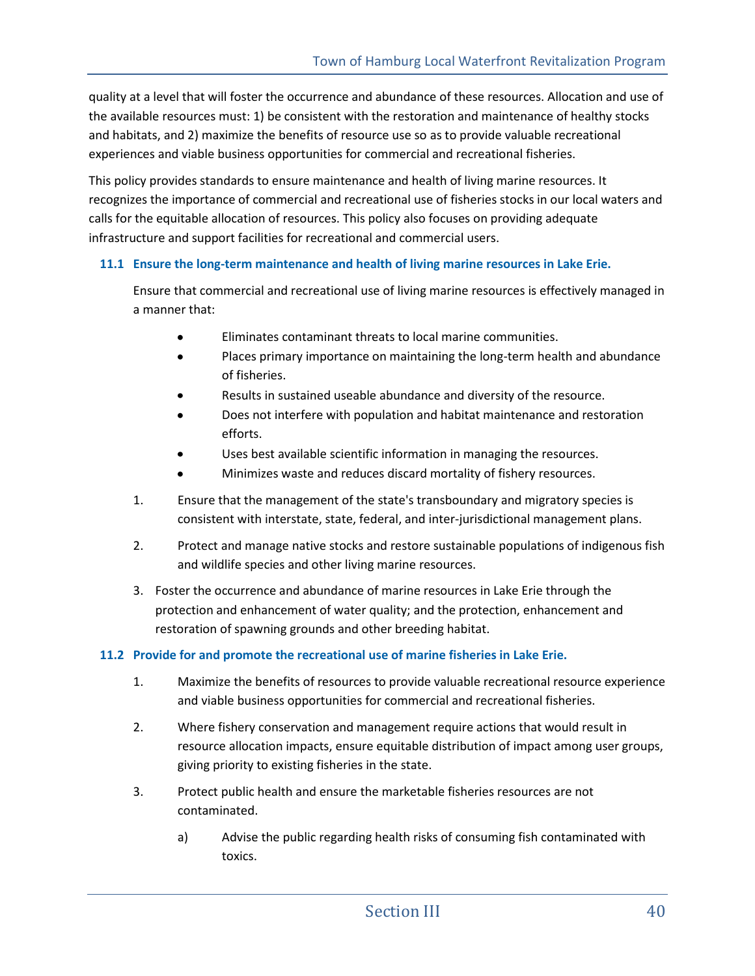quality at a level that will foster the occurrence and abundance of these resources. Allocation and use of the available resources must: 1) be consistent with the restoration and maintenance of healthy stocks and habitats, and 2) maximize the benefits of resource use so as to provide valuable recreational experiences and viable business opportunities for commercial and recreational fisheries.

This policy provides standards to ensure maintenance and health of living marine resources. It recognizes the importance of commercial and recreational use of fisheries stocks in our local waters and calls for the equitable allocation of resources. This policy also focuses on providing adequate infrastructure and support facilities for recreational and commercial users.

### **11.1 Ensure the long-term maintenance and health of living marine resources in Lake Erie.**

Ensure that commercial and recreational use of living marine resources is effectively managed in a manner that:

- Eliminates contaminant threats to local marine communities.
- Places primary importance on maintaining the long-term health and abundance  $\bullet$ of fisheries.
- Results in sustained useable abundance and diversity of the resource.
- Does not interfere with population and habitat maintenance and restoration efforts.
- Uses best available scientific information in managing the resources.
- Minimizes waste and reduces discard mortality of fishery resources.
- 1. Ensure that the management of the state's transboundary and migratory species is consistent with interstate, state, federal, and inter-jurisdictional management plans.
- 2. Protect and manage native stocks and restore sustainable populations of indigenous fish and wildlife species and other living marine resources.
- 3. Foster the occurrence and abundance of marine resources in Lake Erie through the protection and enhancement of water quality; and the protection, enhancement and restoration of spawning grounds and other breeding habitat.

#### **11.2 Provide for and promote the recreational use of marine fisheries in Lake Erie.**

- 1. Maximize the benefits of resources to provide valuable recreational resource experience and viable business opportunities for commercial and recreational fisheries.
- 2. Where fishery conservation and management require actions that would result in resource allocation impacts, ensure equitable distribution of impact among user groups, giving priority to existing fisheries in the state.
- 3. Protect public health and ensure the marketable fisheries resources are not contaminated.
	- a) Advise the public regarding health risks of consuming fish contaminated with toxics.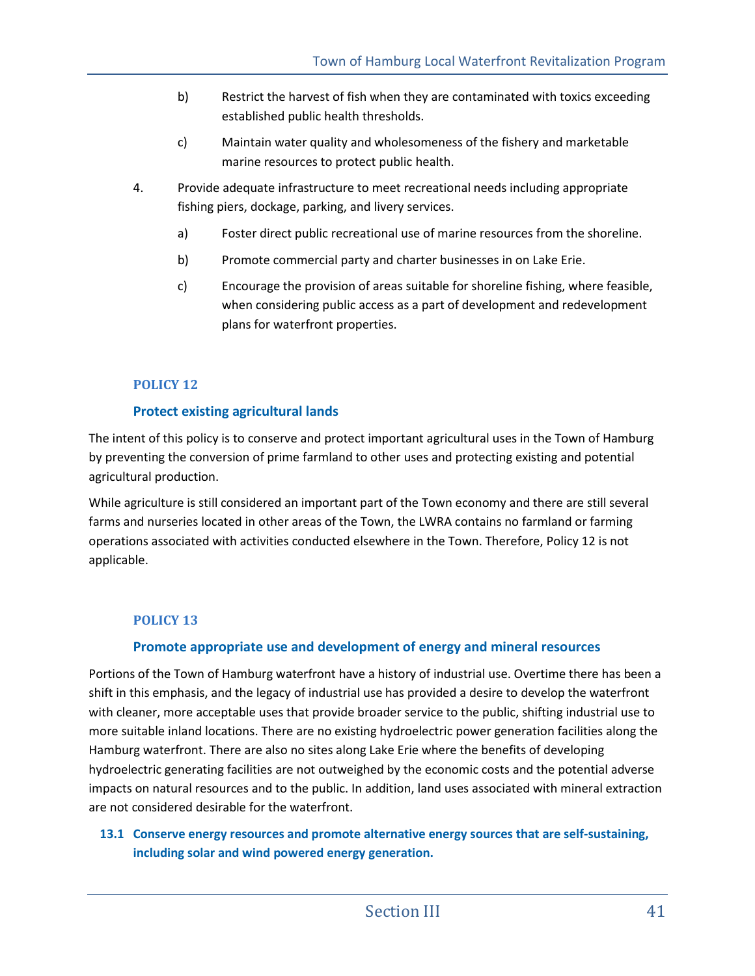- b) Restrict the harvest of fish when they are contaminated with toxics exceeding established public health thresholds.
- c) Maintain water quality and wholesomeness of the fishery and marketable marine resources to protect public health.
- 4. Provide adequate infrastructure to meet recreational needs including appropriate fishing piers, dockage, parking, and livery services.
	- a) Foster direct public recreational use of marine resources from the shoreline.
	- b) Promote commercial party and charter businesses in on Lake Erie.
	- c) Encourage the provision of areas suitable for shoreline fishing, where feasible, when considering public access as a part of development and redevelopment plans for waterfront properties.

## **POLICY 12**

## **Protect existing agricultural lands**

The intent of this policy is to conserve and protect important agricultural uses in the Town of Hamburg by preventing the conversion of prime farmland to other uses and protecting existing and potential agricultural production.

While agriculture is still considered an important part of the Town economy and there are still several farms and nurseries located in other areas of the Town, the LWRA contains no farmland or farming operations associated with activities conducted elsewhere in the Town. Therefore, Policy 12 is not applicable.

## **POLICY 13**

## **Promote appropriate use and development of energy and mineral resources**

Portions of the Town of Hamburg waterfront have a history of industrial use. Overtime there has been a shift in this emphasis, and the legacy of industrial use has provided a desire to develop the waterfront with cleaner, more acceptable uses that provide broader service to the public, shifting industrial use to more suitable inland locations. There are no existing hydroelectric power generation facilities along the Hamburg waterfront. There are also no sites along Lake Erie where the benefits of developing hydroelectric generating facilities are not outweighed by the economic costs and the potential adverse impacts on natural resources and to the public. In addition, land uses associated with mineral extraction are not considered desirable for the waterfront.

## **13.1 Conserve energy resources and promote alternative energy sources that are self-sustaining, including solar and wind powered energy generation.**